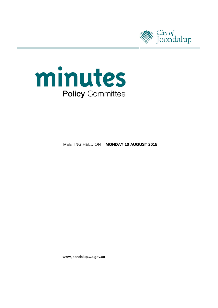



**MEETING HELD ON MONDAY 10 AUGUST 2015** 

www.joondalup.wa.gov.au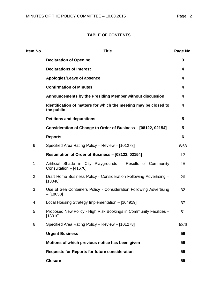# **TABLE OF CONTENTS**

| Item No.       | <b>Title</b>                                                                          | Page No. |
|----------------|---------------------------------------------------------------------------------------|----------|
|                | <b>Declaration of Opening</b>                                                         | 3        |
|                | <b>Declarations of Interest</b>                                                       | 4        |
|                | Apologies/Leave of absence                                                            | 4        |
|                | <b>Confirmation of Minutes</b>                                                        | 4        |
|                | Announcements by the Presiding Member without discussion                              | 4        |
|                | Identification of matters for which the meeting may be closed to<br>the public        | 4        |
|                | <b>Petitions and deputations</b>                                                      | 5        |
|                | Consideration of Change to Order of Business - [08122, 02154]                         | 5        |
|                | <b>Reports</b>                                                                        | 6        |
| 6              | Specified Area Rating Policy - Review - [101278]                                      | 6/58     |
|                | Resumption of Order of Business - [08122, 02154]                                      | 17       |
| 1              | Artificial Shade in City Playgrounds - Results of Community<br>Consultation - [41676] | 18       |
| $\overline{2}$ | Draft Home Business Policy - Consideration Following Advertising -<br>[13048]         | 26       |
| 3              | Use of Sea Containers Policy - Consideration Following Advertising<br>$-[18058]$      | 32       |
| 4              | Local Housing Strategy Implementation - [104919]                                      | 37       |
| 5              | Proposed New Policy - High Risk Bookings in Community Facilities -<br>[13010]         | 51       |
| 6              | Specified Area Rating Policy - Review - [101278]                                      | 58/6     |
|                | <b>Urgent Business</b>                                                                | 59       |
|                | Motions of which previous notice has been given                                       | 59       |
|                | <b>Requests for Reports for future consideration</b>                                  | 59       |
|                | <b>Closure</b>                                                                        | 59       |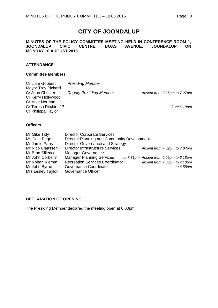# **CITY OF JOONDALUP**

**MINUTES OF THE POLICY COMMITTEE MEETING HELD IN CONFERENCE ROOM 1, CENTRE, BOAS MONDAY 10 AUGUST 2015.** 

## **ATTENDANCE**

#### **Committee Members**

| Cr Liam Gobbert           | <b>Presiding Member</b>        |                              |
|---------------------------|--------------------------------|------------------------------|
| <b>Mayor Troy Pickard</b> |                                |                              |
| Cr John Chester           | <b>Deputy Presiding Member</b> | Absent from 7.25pm to 7.27pm |
| Cr Kerry Hollywood        |                                |                              |
| Cr Mike Norman            |                                |                              |
| Cr Teresa Ritchie, JP     |                                | from $6.19pm$                |
| Cr Philippa Taylor        |                                |                              |
|                           |                                |                              |

#### **Officers**

| Mr Mike Tidy       | <b>Director Corporate Services</b>          |                                         |  |  |
|--------------------|---------------------------------------------|-----------------------------------------|--|--|
| Ms Dale Page       | Director Planning and Community Development |                                         |  |  |
| Mr Jamie Parry     | Director Governance and Strategy            |                                         |  |  |
| Mr Nico Claassen   | <b>Director Infrastructure Services</b>     | Absent from 7.02pm to 7.04pm            |  |  |
| Mr Brad Sillence   | <b>Manager Governance</b>                   |                                         |  |  |
| Mr John Corbellini | <b>Manager Planning Services</b>            | to 7.31pm; Absent from 6.09pm to 6.18pm |  |  |
| Mr Rohan Klemm     | <b>Recreation Services Coordinator</b>      | absent from 7.08pm to 7.13pm            |  |  |
| Mr John Byrne      | Governance Coordinator                      | to 6.55pm                               |  |  |
| Mrs Lesley Taylor  | Governance Officer                          |                                         |  |  |

## <span id="page-2-0"></span>**DECLARATION OF OPENING**

The Presiding Member declared the meeting open at 6.00pm.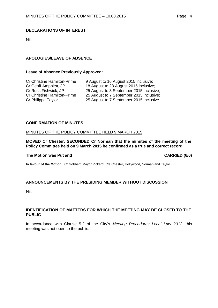### <span id="page-3-0"></span>**DECLARATIONS OF INTEREST**

Nil.

## <span id="page-3-1"></span>**APOLOGIES/LEAVE OF ABSENCE**

#### **Leave of Absence Previously Approved:**

| <b>Cr Christine Hamilton-Prime</b> | 9 August to 16 August 2015 inclusive;    |
|------------------------------------|------------------------------------------|
| Cr Geoff Amphlett, JP              | 18 August to 28 August 2015 inclusive;   |
| Cr Russ Fishwick, JP               | 25 August to 8 September 2015 inclusive; |
| <b>Cr Christine Hamilton-Prime</b> | 25 August to 7 September 2015 inclusive; |
| Cr Philippa Taylor                 | 25 August to 7 September 2015 inclusive. |
|                                    |                                          |

#### <span id="page-3-2"></span>**CONFIRMATION OF MINUTES**

#### MINUTES OF THE POLICY COMMITTEE HELD 9 MARCH 2015

**MOVED Cr Chester, SECONDED Cr Norman that the minutes of the meeting of the Policy Committee held on 9 March 2015 be confirmed as a true and correct record.**

#### **The Motion was Put and CARRIED (6/0)**

**In favour of the Motion:** Cr Gobbert, Mayor Pickard, Crs Chester, Hollywood, Norman and Taylor.

#### <span id="page-3-3"></span>**ANNOUNCEMENTS BY THE PRESIDING MEMBER WITHOUT DISCUSSION**

Nil.

#### <span id="page-3-4"></span>**IDENTIFICATION OF MATTERS FOR WHICH THE MEETING MAY BE CLOSED TO THE PUBLIC**

In accordance with Clause 5.2 of the City's *Meeting Procedures Local Law 2013*, this meeting was not open to the public.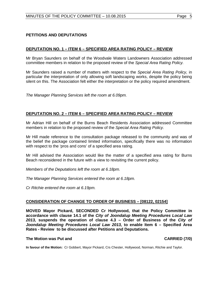### <span id="page-4-0"></span>**DEPUTATION NO. 1 – ITEM 6 – SPECIFIED AREA RATING POLICY – REVIEW**

Mr Bryan Saunders on behalf of the Woodvale Waters Landowners Association addressed committee members in relation to the proposed review of the *Special Area Rating Policy.*

Mr Saunders raised a number of matters with respect to the *Special Area Rating Policy,* in particular the interpretation of only allowing soft landscaping works, despite the policy being silent on this. The Association felt either the interpretation or the policy required amendment.

*The Manager Planning Services left the room at 6.09pm.*

#### **DEPUTATION NO. 2 – ITEM 6 – SPECIFIED AREA RATING POLICY – REVIEW**

Mr Adrian Hill on behalf of the Burns Beach Residents Association addressed Committee members in relation to the proposed review of the *Special Area Rating Policy.*

Mr Hill made reference to the consultation package released to the community and was of the belief the package contained limited information, specifically there was no information with respect to the 'pros and cons' of a specified area rating.

Mr Hill advised the Association would like the matter of a specified area rating for Burns Beach reconsidered in the future with a view to revisiting the current policy.

*Members of the Deputations left the room at 6.18pm.*

*The Manager Planning Services entered the room at 6.18pm.*

*Cr Ritchie entered the room at 6.19pm.*

#### <span id="page-4-1"></span>**CONSIDERATION OF CHANGE TO ORDER OF BUSINESS – [08122, 02154]**

**MOVED Mayor Pickard, SECONDED Cr Hollywood, that the Policy Committee in accordance with clause 14.1 of the** *City of Joondalup Meeting Procedures Local Law 2013,* **suspends the operation of clause 4.3 – Order of Business of the** *City of Joondalup Meeting Procedures Local Law 2013,* **to enable Item 6 – Specified Area Rates - Review to be discussed after Petitions and Deputations.**

#### **The Motion was Put and CARRIED (7/0)**

**In favour of the Motion:** Cr Gobbert, Mayor Pickard, Crs Chester, Hollywood, Norman, Ritchie and Taylor.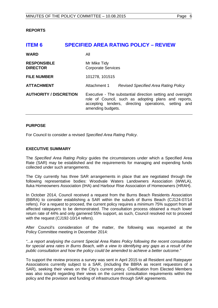#### <span id="page-5-1"></span><span id="page-5-0"></span>**REPORTS**

| <b>ITEM 6</b>                         | <b>SPECIFIED AREA RATING POLICY - REVIEW</b>                                                                                                                                                     |  |  |
|---------------------------------------|--------------------------------------------------------------------------------------------------------------------------------------------------------------------------------------------------|--|--|
| <b>WARD</b>                           | All                                                                                                                                                                                              |  |  |
| <b>RESPONSIBLE</b><br><b>DIRECTOR</b> | Mr Mike Tidy<br><b>Corporate Services</b>                                                                                                                                                        |  |  |
| <b>FILE NUMBER</b>                    | 101278, 101515                                                                                                                                                                                   |  |  |
| <b>ATTACHMENT</b>                     | Attachment 1<br>Revised Specified Area Rating Policy                                                                                                                                             |  |  |
| <b>AUTHORITY / DISCRETION</b>         | Executive - The substantial direction setting and oversight<br>role of Council, such as adopting plans and reports,<br>accepting tenders, directing operations, setting and<br>amending budgets. |  |  |

#### **PURPOSE**

For Council to consider a revised *Specified Area Rating Policy*.

#### **EXECUTIVE SUMMARY**

The *Specified Area Rating Policy* guides the circumstances under which a Specified Area Rate (SAR) may be established and the requirements for managing and expending funds collected under such arrangements.

The City currently has three SAR arrangements in place that are negotiated through the following representative bodies: Woodvale Waters Landowners Association (WWLA), Iluka Homeowners Association (IHA) and Harbour Rise Association of Homeowners (HRAH).

In October 2014, Council received a request from the Burns Beach Residents Association (BBRA) to consider establishing a SAR within the suburb of Burns Beach (CJ124-07/14 refers). For a request to proceed, the current policy requires a minimum 75% support from all affected ratepayers to be demonstrated. The consultation process obtained a much lower return rate of 44% and only garnered 55% support, as such, Council resolved not to proceed with the request (CJ192-10/14 refers).

After Council's consideration of the matter, the following was requested at the Policy Committee meeting in December 2014:

*"...a report analysing the current Special Area Rates Policy following the recent consultation for special area rates in Burns Beach, with a view to identifying any gaps as a result of the public consultation and how the policy could be amended to achieve a better outcome."*

To support the review process a survey was sent in April 2015 to all Resident and Ratepayer Associations currently subject to a SAR, (including the BBRA as recent requestors of a SAR), seeking their views on the City's current policy. Clarification from Elected Members was also sought regarding their views on the current consultation requirements within the policy and the provision and funding of infrastructure through SAR agreements.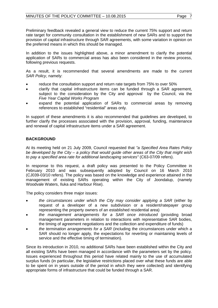Preliminary feedback revealed a general view to reduce the current 75% support and return rate target for community consultation in the establishment of new SARs and to support the provision of capital infrastructure through SAR agreements, with some variation in opinion on the preferred means in which this should be managed.

In addition to the issues highlighted above, a minor amendment to clarify the potential application of SARs to commercial areas has also been considered in the review process, following previous requests.

As a result, it is recommended that several amendments are made to the current *SAR Policy*, namely:

- reduce the consultation support and return rate targets from 75% to over 50%
- clarify that capital infrastructure items can be funded through a SAR agreement, subject to the consideration by the City and approval by the Council, via the *Five Year Capital Works Program*
- expand the potential application of SARs to commercial areas by removing references to established "residential" areas only.

In support of these amendments it is also recommended that guidelines are developed, to further clarify the processes associated with the provision, approval, funding, maintenance and renewal of capital infrastructure items under a SAR agreement.

# **BACKGROUND**

At its meeting held on 21 July 2009, Council requested that *"a Specified Area Rates Policy be developed by the City – a policy that would guide other areas of the City that might wish to pay a specified area rate for additional landscaping services"* (C63-07/09 refers).

In response to this request, a draft policy was presented to the Policy Committee in February 2010 and was subsequently adopted by Council on 16 March 2010 (CJ039-03/10 refers). The policy was based on the knowledge and experience attained in the management of existing SARs operating within the City of Joondalup, (namely Woodvale Waters, Iluka and Harbour Rise).

The policy considers three major issues:

- *the circumstances under which the City may consider applying a SAR* (either by request of a developer of a new subdivision or a resident/ratepayer group representing the property owners of an established residential area)
- *the management arrangements for a SAR once introduced* (providing broad management parameters in relation to interactions with representative SAR bodies, the timing of agreement negotiations and the collection and expenditure of funds)
- *the termination arrangements for a SAR* (including the circumstances under which a SAR should no longer apply, the expectations for reverting or maintaining levels of service and the effective timing of termination).

Since its introduction in 2010, no additional SARs have been established within the City and all existing SARs have been managed in accordance with the parameters set by the policy. Issues experienced throughout this period have related mainly to the use of accumulated surplus funds (in particular, the legislative restrictions placed over what these funds are able to be spent on in years outside of the period in which they were collected) and identifying appropriate forms of infrastructure that could be funded through a SAR.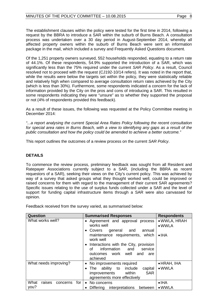The establishment clauses within the policy were tested for the first time in 2014, following a request by the BBRA to introduce a SAR within the suburb of Burns Beach. A consultation process was undertaken over a 30 day period in August-September 2014, whereby all affected property owners within the suburb of Burns Beach were sent an information package in the mail, which included a survey and Frequently Asked Questions document.

Of the 1,251 property owners surveyed, 552 households responded, equating to a return rate of 44.1%. Of these respondents, 54.9% supported the introduction of a SAR, which was significantly less than the 75% required under the current *SAR Policy*. As a result, Council resolved not to proceed with the request (CJ192-10/14 refers). It was noted in the report that, while the results were below the targets set within the policy, they were statistically reliable and relatively high when compared to average consultation return rates achieved by the City (which is less than 30%). Furthermore, some respondents indicated a concern for the lack of information provided by the City on the pros and cons of introducing a SAR. This resulted in some respondents indicating they were "unsure" as to whether they supported the proposal or not (4% of respondents provided this feedback).

As a result of these issues, the following was requested at the Policy Committee meeting in December 2014:

*"...a report analysing the current Special Area Rates Policy following the recent consultation for special area rates in Burns Beach, with a view to identifying any gaps as a result of the public consultation and how the policy could be amended to achieve a better outcome."*

This report outlines the outcomes of a review process on the current *SAR Policy*.

# **DETAILS**

To commence the review process, preliminary feedback was sought from all Resident and Ratepayer Associations currently subject to a SAR, (including the BBRA as recent requestors of a SAR), seeking their views on the City's current policy. This was achieved by way of a survey that asked groups what they thought worked well, could be improved or raised concerns for them with regard to the management of their current SAR agreements? Specific issues relating to the use of surplus funds collected under a SAR and the level of support for funding capital infrastructure items through a SAR were also canvassed for opinion.

Feedback received from the survey varied, as summarised below:

| Question                          | <b>Summarised Responses</b>                                                                                                                                                                                                                           | <b>Respondents</b>                              |  |
|-----------------------------------|-------------------------------------------------------------------------------------------------------------------------------------------------------------------------------------------------------------------------------------------------------|-------------------------------------------------|--|
| What works well?                  | • Agreement and approval process<br>works well<br>general and<br>Covers<br>annual<br>maintenance requirements, which<br>work well<br>Interactions with the City, provision<br>information<br>and<br>service<br>Ωf<br>outcomes work well<br>and<br>are | • WWLA, HRAH<br>$\bullet$ WWLA<br>$\bullet$ IHA |  |
|                                   | achieved                                                                                                                                                                                                                                              |                                                 |  |
| What needs improving?             | No improvements required                                                                                                                                                                                                                              | $\bullet$ HRAH, IHA                             |  |
|                                   | to include<br>capital<br>The ability<br><b>SAR</b><br>within<br>improvements<br>agreements more effectively                                                                                                                                           | $\bullet$ WWLA                                  |  |
| What<br>raises<br>for<br>concerns | No concerns<br>$\bullet$                                                                                                                                                                                                                              | $\bullet$ IHA                                   |  |
| you?                              | Differing<br>interpretations<br>between                                                                                                                                                                                                               | $\bullet$ WWLA                                  |  |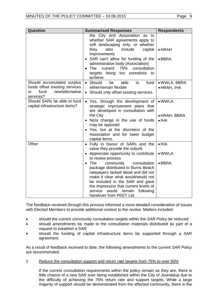| <b>Question</b>                                                                                            | <b>Summarised Responses</b>                                                                                                                                                                                                                                                                            | <b>Respondents</b>                                      |
|------------------------------------------------------------------------------------------------------------|--------------------------------------------------------------------------------------------------------------------------------------------------------------------------------------------------------------------------------------------------------------------------------------------------------|---------------------------------------------------------|
|                                                                                                            | the City and Association as to<br>whether SAR agreements apply to<br>soft landscaping only, or whether<br>they<br>also<br>include<br>capital<br>improvements<br>• SAR can't allow for funding of the<br>administrative body (Association)                                                              | $\bullet$ HRAH<br>$\bullet$ BBRA                        |
|                                                                                                            | current 75%<br>$\bullet$ The<br>consultation<br>targets being too unrealistic to<br>achieve.                                                                                                                                                                                                           |                                                         |
| Should accumulated surplus<br>funds offset existing services<br>fund<br>new/alternative<br>or<br>services? | • Should<br>able<br>fund<br>be<br>to<br>either/remain flexible<br>• Should only offset existing services.                                                                                                                                                                                              | • WWLA, BBRA<br>• HRAH, IHA                             |
| Should SARs be able to fund<br>capital infrastructure items?                                               | • Yes, through the development of<br>strategic improvement plans that<br>are developed in consultation with<br>the City<br>No/a change in the use of funds<br>may be opposed<br>• Yes, but at the discretion of the<br>Association and for lower budget<br>capital items.                              | $\bullet$ WWLA<br>$\bullet$ HRAH, BBRA<br>$\bullet$ IHA |
| Other                                                                                                      | • Fully in favour of SARs and the<br>value they provide the suburb<br>• Appreciate opportunity to contribute<br>to review process                                                                                                                                                                      | $\bullet$ IHA<br>$\bullet$ WWLA                         |
|                                                                                                            | The<br>community<br>consultation<br>package distributed to Burns Beach<br>ratepayers lacked detail and did not<br>make it clear what would/would not<br>be included in the SAR and gave<br>the impression that current levels of<br>would<br>service<br>remain<br>following<br>handover from PEET Ltd. | $\bullet$ BBRA                                          |

The feedback received through this process informed a more detailed consideration of issues with Elected Members to provide additional context to the review. Matters included:

- should the current community consultation targets within the *SAR Policy* be reduced
- should amendments be made to the consultation materials distributed as part of a request to establish a SAR
- should the funding of capital infrastructure items be supported through a SAR agreement.

As a result of feedback received to date, the following amendments to the current *SAR Policy* are recommended:

1 Reduce the consultation support and return rate targets from 75% to over 50%

If the current consultation requirements within the policy remain as they are, there is little chance of a new SAR ever being established within the City of Joondalup due to the difficulty of achieving the 75% return rate and support targets. While a large majority of support should be demonstrated from the affected community, there is the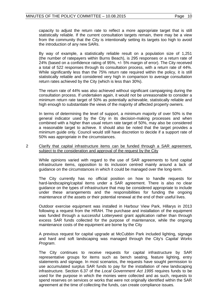capacity to adjust the return rate to reflect a more appropriate target that is still statistically reliable. If the current consultation targets remain, there may be a view from the community that the City is intentionally setting its targets too high to avoid the introduction of any new SARs.

By way of example, a statistically reliable result on a population size of 1,251 (the number of ratepayers within Burns Beach), is 295 responses or a return rate of 24% (based on a confidence rating of 95%, +/- 5% margin of error). The City received a total of 522 responses through its consultation process, with a return rate of 44%. While significantly less than the 75% return rate required within the policy, it is still statistically reliable and considered very high in comparison to average consultation return rates achieved by the City (which is less than 30%).

The return rate of 44% was also achieved without significant campaigning during the consultation process. If undertaken again, it would not be unreasonable to consider a minimum return rate target of 50% as potentially achievable, statistically reliable and high enough to substantiate the views of the majority of affected property owners.

In terms of determining the level of support, a minimum majority of over 50% is the general indicator used by the City in its decision-making processes and when combined with a higher than usual return rate target of 50%, may also be considered a reasonable target to achieve. It should also be noted that the target provides a minimum guide only. Council would still have discretion to decide if a support rate of 50% was appropriate in the circumstances.

#### 2 Clarify that capital infrastructure items can be funded through a SAR agreement, subject to the consideration and approval of the request by the City

While opinions varied with regard to the use of SAR agreements to fund capital infrastructure items, opposition to its inclusion centred mainly around a lack of guidance on the circumstances in which it could be managed over the long-term.

The City currently has no official position on how to handle requests for hard-landscaping/capital items under a SAR agreement. There is also no clear guidance on the types of infrastructure that may be considered appropriate to include under these arrangements and the responsibilities for funding the ongoing maintenance of the assets or their potential renewal at the end of their useful lives.

Outdoor exercise equipment was installed in Harbour View Park, Hillarys in 2013 following a request from the HRAH. The purchase and installation of the equipment was funded through a successful Lotterywest grant application rather than through excess SAR funds collected for the purpose of maintenance, while the ongoing maintenance costs of the equipment are borne by the City

A previous request for capital upgrade at McCubbin Park included lighting, signage and hard and soft landscaping was managed through the City's *Capital Works Program*.

The City continues to receive requests for capital infrastructure by SAR representative groups for items such as bench seating, feature lighting, entry statements and signage. In most scenarios, the requests have sought permission to use accumulated surplus SAR funds to pay for the installation of new landscaping infrastructure. Section 6.37 of the *Local Government Act 1995* requires funds to be used for the purpose in which the monies were collected and as such, requests to spend reserves on services or works that were not originally identified within the SAR agreement at the time of collecting the funds, can create compliance issues.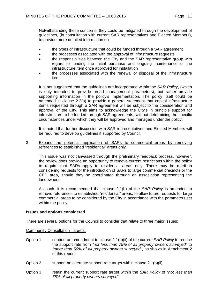Notwithstanding these concerns, they could be mitigated through the development of guidelines, (in consultation with current SAR representatives and Elected Members), to provide more detailed information on:

- the types of infrastructure that could be funded through a SAR agreement
- the processes associated with the approval of infrastructure requests
- the responsibilities between the City and the SAR representative group with regard to funding the initial purchase and ongoing maintenance of the infrastructure item once approved for installation
- the processes associated with the renewal or disposal of the infrastructure item.

It is not suggested that the guidelines are incorporated within the *SAR Policy*, (which is only intended to provide broad management parameters), but rather provide supporting information in the policy's implementation. The policy itself could be amended in clause 2.2(a) to provide a general statement that capital infrastructure items requested through a SAR agreement will be subject to the consideration and approval of the City. This aims to acknowledge the City's in principle support for infrastructure to be funded through SAR agreements, without determining the specific circumstances under which they will be approved and managed under the policy.

It is noted that further discussion with SAR representatives and Elected Members will be required to develop guidelines if supported by Council.

#### 3 Expand the potential application of SARs to commercial areas by removing references to established "residential" areas only

This issue was not canvassed through the preliminary feedback process, however, the review does provide an opportunity to remove current restrictions within the policy to require that SARs apply to residential areas only. There may be merit in considering requests for the introduction of SARs to large commercial precincts or the CBD area, should they be coordinated through an association representing the landowners.

As such, it is recommended that clause 2.1(b) of the *SAR Policy* is amended to remove references to established "residential" areas, to allow future requests for large commercial areas to be considered by the City in accordance with the parameters set within the policy.

#### **Issues and options considered**

There are several options for the Council to consider that relate to three major issues:

Community Consultation Targets:

- Option 1 support an amendment to clause 2.1(b)(ii) of the current *SAR Policy* to reduce the support rate from *"not less than 75% of all property owners surveyed"* to *"more than 50% of all property owners surveyed"*, as shown in Attachment 2 of this report.
- Option 2 support an alternate support rate target within clause 2.1(b)(ii).
- Option 3 retain the current support rate target within the *SAR Policy* of *"not less than 75% of all property owners surveyed"*.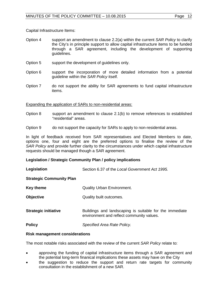Capital Infrastructure Items:

- Option 4 support an amendment to clause 2.2(a) within the current *SAR Policy* to clarify the City's in principle support to allow capital infrastructure items to be funded through a SAR agreement, including the development of supporting guidelines.
- Option 5 support the development of guidelines only.
- Option 6 support the incorporation of more detailed information from a potential guideline within the *SAR Policy* itself.
- Option 7 do not support the ability for SAR agreements to fund capital infrastructure items.

#### Expanding the application of SARs to non-residential areas:

- Option 8 support an amendment to clause 2.1(b) to remove references to established "residential" areas.
- Option 9 do not support the capacity for SARs to apply to non-residential areas.

In light of feedback received from SAR representatives and Elected Members to date, options one, four and eight are the preferred options to finalise the review of the *SAR Policy* and provide further clarity to the circumstances under which capital infrastructure requests should be managed though a SAR agreement.

#### **Legislation / Strategic Community Plan / policy implications**

| Legislation                     | Section 6.37 of the Local Government Act 1995.                                                       |  |
|---------------------------------|------------------------------------------------------------------------------------------------------|--|
| <b>Strategic Community Plan</b> |                                                                                                      |  |
| <b>Key theme</b>                | <b>Quality Urban Environment.</b>                                                                    |  |
| <b>Objective</b>                | Quality built outcomes.                                                                              |  |
| <b>Strategic initiative</b>     | Buildings and landscaping is suitable for the immediate<br>environment and reflect community values. |  |
| <b>Policy</b>                   | Specified Area Rate Policy.                                                                          |  |

#### **Risk management considerations**

The most notable risks associated with the review of the current *SAR Policy* relate to:

- approving the funding of capital infrastructure items through a SAR agreement and the potential long-term finanical implications these assets may have on the City
- the suggestion to reduce the support and return rate targets for community consultation in the establishment of a new SAR.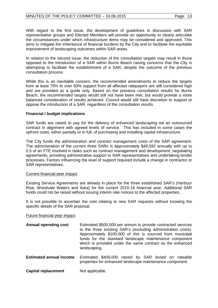With regard to the first issue, the development of guidelines in discussion with SAR representative groups and Elected Members will provide an opportunity to clearly articulate the circumstances under which infrastructure items may be considered and approved. This aims to mitigate the inheritance of financial burdens by the City and to facilitate the equitable improvement of landscaping outcomes within SAR areas.

In relation to the second issue, the reduction of the consultation targets may result in those opposed to the introduction of a SAR within Burns Beach raising concerns that the City is attempting to facilitate the establishment of a SAR, despite the outcome of the previous consultation process.

While this is an inevitable concern, the recommended amendments to reduce the targets from at least 75% to over 50% support from all affected ratepayers are still considered high and are provided as a guide only. Based on the previous consultation results for Burns Beach, the recommended targets would still not have been met, but would provide a more balanced consideration of results achieved. Council would still have discretion to support or oppose the introduction of a SAR, regardless of the consultation results.

#### **Financial / budget implications**

SAR funds are raised to pay for the delivery of enhanced landscaping via an outsourced contract in alignment with agreed levels of service. This has included in some cases the upfront costs, either partially or in full, of purchasing and installing capital infrastructure.

The City funds the administration and contract management costs of the SAR agreement. The administration of the current three SARs is approximately \$48,592 annually with up to 0.5 of an FTE involved in tasks such as contract management and development, negotiating agreements, providing administrative support to SAR representatives and undertaking tender processes. Factors influencing the level of support required include a change in contractor or SAR representatives.

#### Current financial year impact

Existing Service Agreements are already in place for the three established SAR's (Harbour Rise, Woodvale Waters and Iluka) for the current 2015-16 financial year. Additional SAR funds could not be raised without issuing interim rate notices to the affected properties.

It is not possible to ascertain the cost relating to new SAR requests without knowing the specific details of the SAR proposal.

#### Future financial year impact

- **Annual operating cost** Estimated \$500,000 per annum to provide contracted services to the three existing SAR's (excluding administration costs). Approximately \$100,000 of this is sourced from municipal funds for the standard landscape maintenance component which is provided under the same contract as the enhanced landscaping.
- **Estimated annual income** Estimated \$400,000 raised by SAR levied on rateable properties for enhanced landscape maintenance component.
- **Capital replacement** Not applicable.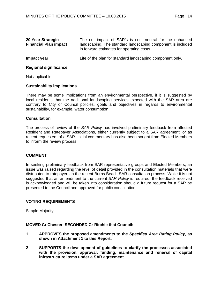| 20 Year Strategic<br><b>Financial Plan impact</b> | The net impact of SAR's is cost neutral for the enhanced<br>landscaping. The standard landscaping component is included<br>in forward estimates for operating costs. |
|---------------------------------------------------|----------------------------------------------------------------------------------------------------------------------------------------------------------------------|
| Impact year                                       | Life of the plan for standard landscaping component only.                                                                                                            |

### **Regional significance**

Not applicable.

#### **Sustainability implications**

There may be some implications from an environmental perspective, if it is suggested by local residents that the additional landscaping services expected with the SAR area are contrary to City or Council policies, goals and objectives in regards to environmental sustainability, for example, water consumption.

#### **Consultation**

The process of review of the *SAR Policy* has involved preliminary feedback from affected Resident and Ratepayer Associations, either currently subject to a SAR agreement, or as recent requesters of a SAR. Initial commentary has also been sought from Elected Members to inform the review process.

#### **COMMENT**

In seeking preliminary feedback from SAR representative groups and Elected Members, an issue was raised regarding the level of detail provided in the consultation materials that were distributed to ratepayers in the recent Burns Beach SAR consultation process. While it is not suggested that an amendment to the current *SAR Policy* is required, the feedback received is acknowledged and will be taken into consideration should a future request for a SAR be presented to the Council and approved for public consultation.

#### **VOTING REQUIREMENTS**

Simple Majority.

#### **MOVED Cr Chester, SECONDED Cr Ritchie that Council:**

- **1 APPROVES the proposed amendments to the** *Specified Area Rating Policy***, as shown in Attachment 1 to this Report;**
- **2 SUPPORTS the development of guidelines to clarify the processes associated with the provision, approval, funding, maintenance and renewal of capital infrastructure items under a SAR agreement.**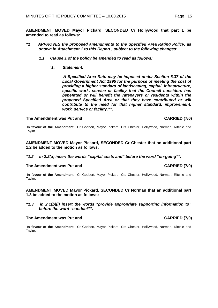**AMENDMENT MOVED Mayor Pickard, SECONDED Cr Hollywood that part 1 be amended to read as follows:**

- *"1 APPROVES the proposed amendments to the Specified Area Rating Policy, as shown in Attachment 1 to this Report , subject to the following changes:*
	- *1.1 Clause 1 of the policy be amended to read as follows:*
		- *"1. Statement:*

 *A Specified Area Rate may be imposed under Section 6.37 of the Local Government Act 1995 for the purpose of meeting the cost of providing a higher standard of landscaping, capital infrastructure, specific work, service or facility that the Council considers has benefitted or will benefit the ratepayers or residents within the proposed Specified Area or that they have contributed or will contribute to the need for that higher standard, improvement, work, service or facility."".* 

#### The Amendment was Put and **CARRIED** (7/0)

**In favour of the Amendment:** Cr Gobbert, Mayor Pickard, Crs Chester, Hollywood, Norman, Ritchie and Taylor.

**AMENDMENT MOVED Mayor Pickard, SECONDED Cr Chester that an additional part 1.2 be added to the motion as follows:**

*"1.2 in 2.2(a) insert the words "capital costs and" before the word "on-going"".*

#### The Amendment was Put and **CARRIED** (7/0)

**In favour of the Amendment:** Cr Gobbert, Mayor Pickard, Crs Chester, Hollywood, Norman, Ritchie and Taylor.

**AMENDMENT MOVED Mayor Pickard, SECONDED Cr Norman that an additional part 1.3 be added to the motion as follows:**

*"1.3 in 2.1(b)(i) insert the words "provide appropriate supporting information to" before the word "conduct"".*

#### The Amendment was Put and **CARRIED** (7/0)

**In favour of the Amendment:** Cr Gobbert, Mayor Pickard, Crs Chester, Hollywood, Norman, Ritchie and Taylor.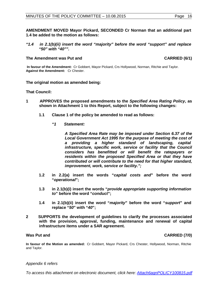**AMENDMENT MOVED Mayor Pickard, SECONDED Cr Norman that an additional part 1.4 be added to the motion as follows:**

*"1.4 in 2.1(b)(ii) insert the word "majority" before the word "support" and replace "50" with "40"".*

#### **The Amendment was Put and CARRIED (6/1)**

**In favour of the Amendment:** Cr Gobbert, Mayor Pickard, Crs Hollywood, Norman, Ritchie and Taylor. **Against the Amendment:** Cr Chester.

**The original motion as amended being:**

**That Council:**

- **1 APPROVES the proposed amendments to the** *Specified Area Rating Policy***, as shown in Attachment 1 to this Report, subject to the following changes:**
	- **1.1 Clause 1 of the policy be amended to read as follows:**
		- *"1 Statement:*

*A Specified Area Rate may be imposed under Section 6.37 of the Local Government Act 1995 for the purpose of meeting the cost of a providing a higher standard of landscaping, capital infrastructure, specific work, service or facility that the Council considers has benefitted or will benefit the ratepayers or residents within the proposed Specified Area or that they have contributed or will contribute to the need for that higher standard, improvement, work, service or facility.";*

- **1.2 in 2.2(a) insert the words "***capital costs and***" before the word "***operational***";**
- **1.3 in 2.1(b)(i) insert the words "***provide appropriate supporting information to***" before the word "***conduct***";**
- **1.4 in 2.1(b)(ii) insert the word "***majority***" before the word "***support***" and replace "***50***" with "***40***";**
- **2 SUPPORTS the development of guidelines to clarify the processes associated with the provision, approval, funding, maintenance and renewal of capital infrastructure items under a SAR agreement.**

**In favour of the Motion as amended:** Cr Gobbert, Mayor Pickard, Crs Chester, Hollywood, Norman, Ritchie and Taylor.

#### *Appendix 6 refers*

*To access this attachment on electronic document, click here: [Attach6agnPOLICY100815.pdf](http://www.joondalup.wa.gov.au/files/committees/POLI/2015/Attach6agnPOLICY100815.pdf)*

**Was Put and CARRIED (7/0)**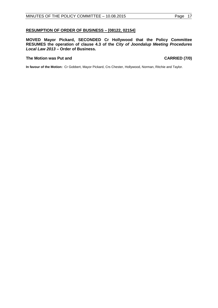#### <span id="page-16-0"></span>**RESUMPTION OF ORDER OF BUSINESS – [08122, 02154]**

**MOVED Mayor Pickard, SECONDED Cr Hollywood that the Policy Committee RESUMES the operation of clause 4.3 of the** *City of Joondalup Meeting Procedures Local Law 2013 –* **Order of Business.**

#### **The Motion was Put and CARRIED (7/0)**

**In favour of the Motion:** Cr Gobbert, Mayor Pickard, Crs Chester, Hollywood, Norman, Ritchie and Taylor.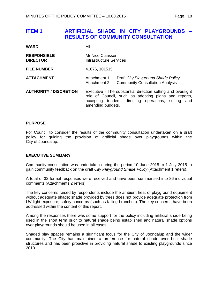# <span id="page-17-0"></span>**ITEM 1 ARTIFICIAL SHADE IN CITY PLAYGROUNDS – RESULTS OF COMMUNITY CONSULTATION**

| <b>WARD</b>                           | All                                                                                                                                                                                                 |  |  |
|---------------------------------------|-----------------------------------------------------------------------------------------------------------------------------------------------------------------------------------------------------|--|--|
| <b>RESPONSIBLE</b><br><b>DIRECTOR</b> | Mr Nico Claassen<br>Infrastructure Services                                                                                                                                                         |  |  |
| <b>FILE NUMBER</b>                    | 41676, 101515                                                                                                                                                                                       |  |  |
| <b>ATTACHMENT</b>                     | Draft City Playground Shade Policy<br>Attachment 1<br><b>Community Consultation Analysis</b><br>Attachment 2                                                                                        |  |  |
| <b>AUTHORITY / DISCRETION</b>         | Executive - The substantial direction setting and oversight<br>role of Council, such as adopting plans and reports,<br>accepting tenders, directing operations, setting<br>and<br>amending budgets. |  |  |

#### **PURPOSE**

For Council to consider the results of the community consultation undertaken on a draft policy for guiding the provision of artificial shade over playgrounds within the City of Joondalup.

#### **EXECUTIVE SUMMARY**

Community consultation was undertaken during the period 10 June 2015 to 1 July 2015 to gain community feedback on the draft *City Playground Shade Policy* (Attachment 1 refers).

A total of 32 formal responses were received and have been summarised into 86 individual comments (Attachments 2 refers).

The key concerns raised by respondents include the ambient heat of playground equipment without adequate shade; shade provided by trees does not provide adequate protection from UV light exposure; safety concerns (such as falling branches). The key concerns have been addressed within the content of this report.

Among the responses there was some support for the policy including artificial shade being used in the short term prior to natural shade being established and natural shade options over playgrounds should be used in all cases.

Shaded play spaces remains a significant focus for the City of Joondalup and the wider community. The City has maintained a preference for natural shade over built shade structures and has been proactive in providing natural shade to existing playgrounds since 2010.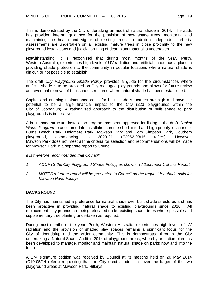This is demonstrated by the City undertaking an audit of natural shade in 2014. The audit has provided internal guidance for the provision of new shade trees, monitoring and maintaining the health and vigour of existing trees. In addition independent arborist assessments are undertaken on all existing mature trees in close proximity to the new playground installations and judicial pruning of dead plant material is undertaken.

Notwithstanding, it is recognised that during most months of the year, Perth, Western Australia, experiences high levels of UV radiation and artificial shade has a place in providing shade protection to the community in popular locations where natural shade is difficult or not possible to establish.

The draft *City Playground Shade Policy* provides a guide for the circumstances where artificial shade is to be provided on City managed playgrounds and allows for future review and eventual removal of built shade structures where natural shade has been established.

Capital and ongoing maintenance costs for built shade structures are high and have the potential to be a large financial impact to the City (223 playgrounds within the City of Joondalup). A rationalised approach to the distribution of built shade to park playgrounds is imperative.

A built shade structure installation program has been approved for listing in the draft *Capital Works Program* to accommodate installations in the short listed and high priority locations of Burns Beach Park, Delamere Park, Mawson Park and Tom Simpson Park, Southern playground, commencing in 2020-21 (CJ052-03/15 refers). However, in 2020-21 (CJ052-03/15 refers). However, Mawson Park does not meet all the criteria for selection and recommendations will be made for Mawson Park in a separate report to Council.

*It is therefore recommended that Council:*

- *1 ADOPTS the City Playground Shade Policy, as shown in Attachment 1 of this Report;*
- *2 NOTES a further report will be presented to Council on the request for shade sails for Mawson Park, Hillarys.*

#### **BACKGROUND**

The City has maintained a preference for natural shade over built shade structures and has been proactive in providing natural shade to existing playgrounds since 2010. All replacement playgrounds are being relocated under existing shade trees where possible and supplementary tree planting undertaken as required.

During most months of the year, Perth, Western Australia, experiences high levels of UV radiation and the provision of shaded play spaces remains a significant focus for the City of Joondalup and the wider community. This is demonstrated through the City undertaking a Natural Shade Audit in 2014 of playground areas, whereby an action plan has been developed to manage, monitor and maintain natural shade on parks now and into the future.

A 174 signature petition was received by Council at its meeting held on 20 May 2014 (C19-05/14 refers) requesting that the City erect shade sails over the larger of the two playground areas at Mawson Park, Hillarys.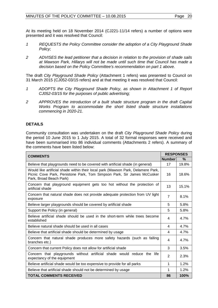At its meeting held on 18 November 2014 (CJ221-11/14 refers) a number of options were presented and it was resolved that Council:

- *1 REQUESTS the Policy Committee consider the adoption of a City Playground Shade Policy;*
- *2 ADVISES the lead petitioner that a decision in relation to the provision of shade sails at Mawson Park, Hillarys will not be made until such time that Council has made a decision based on the Policy Committee's recommendation on part 1 above.*

The draft *City Playground Shade Policy* (Attachment 1 refers) was presented to Council on 31 March 2015 (CJ052-03/15 refers) and at that meeting it was resolved that Council:

- *1 ADOPTS the City Playground Shade Policy, as shown in Attachment 1 of Report CJ052-03/15 for the purposes of public advertising;*
- *2 APPROVES the introduction of a built shade structure program in the draft Capital Works Program to accommodate the short listed shade structure installations commencing in 2020-21.*

# **DETAILS**

Community consultation was undertaken on the draft *City Playground Shade Policy* during the period 10 June 2015 to 1 July 2015. A total of 32 formal responses were received and have been summarised into 86 individual comments (Attachments 2 refers). A summary of the comments have been listed below:

| <b>COMMENTS</b>                                                                                                                                                                       |                | <b>RESPONSES</b> |  |
|---------------------------------------------------------------------------------------------------------------------------------------------------------------------------------------|----------------|------------------|--|
|                                                                                                                                                                                       | <b>Number</b>  | $\%$             |  |
| Believe that playgrounds need to be covered with artificial shade (in general)                                                                                                        | 17             | 19.8%            |  |
| Would like artificial shade within their local park (Mawson Park, Delamere Park,<br>Picnic Cove Park, Penistone Park, Tom Simpson Park, Sir James McCusker<br>Park, Broad Beach Park) | 16             | 18.6%            |  |
| Concern that playground equipment gets too hot without the protection of<br>artificial shade                                                                                          | 13             | 15.1%            |  |
| Concern that natural shade does not provide adequate protection from UV light<br>exposure                                                                                             | $\overline{7}$ | 8.1%             |  |
| Believe larger playgrounds should be covered by artificial shade                                                                                                                      | 5              | 5.8%             |  |
| Support the Policy (in general)                                                                                                                                                       | 5              | 5.8%             |  |
| Believe artificial shade should be used in the short-term while trees become<br>established                                                                                           | 4              | 4.7%             |  |
| Believe natural shade should be used in all cases                                                                                                                                     | 4              | 4.7%             |  |
| Believe that artificial shade should be determined by usage                                                                                                                           | 4              | 4.7%             |  |
| Concern that natural shade produces more safety hazards (such as falling<br>branches etc.)                                                                                            | 4              | 4.7%             |  |
| Concern that current Policy does not allow for artificial shade                                                                                                                       | 3              | 3.5%             |  |
| Concern that playgrounds without artificial shade would reduce the<br>life<br>expectancy of the equipment                                                                             | $\mathbf{2}$   | 2.3%             |  |
| Believe artificial shade would be too expensive to provide for all parks                                                                                                              | 1              | 1.2%             |  |
| Believe that artificial shade should not be determined by usage                                                                                                                       | 1              | 1.2%             |  |
| <b>TOTAL COMMENTS RECEIVED</b>                                                                                                                                                        | 86             | 100%             |  |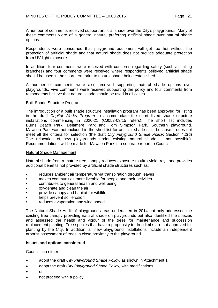A number of comments received support artificial shade over the City's playgrounds. Many of these comments were of a general nature, preferring artificial shade over natural shade options.

Respondents were concerned that playground equipment will get too hot without the protection of artificial shade and that natural shade does not provide adequate protection from UV light exposure.

In addition, four comments were received with concerns regarding safety (such as falling branches) and four comments were received where respondents believed artificial shade should be used in the short term prior to natural shade being established.

A number of comments were also received supporting natural shade options over playgrounds. Five comments were received supporting the policy and four comments from respondents believe that natural shade should be used in all cases.

#### Built Shade Structure Program

The introduction of a built shade structure installation program has been approved for listing in the draft *Capital Works Program* to accommodate the short listed shade structure installations commencing in 2020-21 (CJ052-03/15 refers). The short list includes Burns Beach Park, Delamere Park and Tom Simpson Park, Southern playground. Mawson Park was not included in the short list for artificial shade sails because it does not meet all the criteria for selection (the draft *City Playground Shade Policy*: Section 4.2(d) The relocation of new playgrounds under existing natural shade is not possible). Recommendations will be made for Mawson Park in a separate report to Council.

#### Natural Shade Management

Natural shade from a mature tree canopy reduces exposure to ultra-violet rays and provides additional benefits not provided by artificial shade structures such as:

- reduces ambient air temperature via transpiration through leaves
- makes communities more liveable for people and their activities
- contributes to general health and well being
- oxygenate and clean the air
- provide canopy and habitat for wildlife
- helps prevent soil erosion
- reduces evaporation and wind speed.

The Natural Shade Audit of playground areas undertaken in 2014 not only addressed the existing tree canopy providing natural shade on playgrounds but also identified the species and assessed the health and vigour of the trees for maintenance and succession replacement planting. Tree species that have a propensity to drop limbs are not approved for planting by the City. In addition, all new playground installations include an independent arborist assessment of trees in close proximity to the playground.

#### **Issues and options considered**

Council can either:

- adopt the draft *City Playground Shade Policy,* as shown in Attachment 1
- adopt the draft *City Playground Shade Policy,* with modifications
- or
- not proceed with a policy.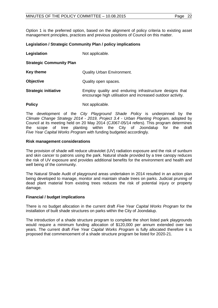Option 1 is the preferred option, based on the alignment of policy criteria to existing asset management principles, practices and previous positions of Council on this matter.

## **Legislation / Strategic Community Plan / policy implications**

**Legislation** Not applicable.

**Strategic Community Plan**

**Key theme Cuality Urban Environment.** 

**Objective** Quality open spaces.

- **Strategic initiative** Employ quality and enduring infrastructure designs that encourage high utilisation and increased outdoor activity.
- **Policy** Not applicable.

The development of the *City Playground Shade Policy* is underpinned by the *Climate Change Strategy 2014 - 2019, Project 3.4 - Urban Planting Program,* adopted by Council at its meeting held on 20 May 2014 (CJ067-05/14 refers). This program determines the scope of tree planting within the City of Joondalup for the draft the scope of tree planting within the City of Joondalup for the draft *Five Year Capital Works Program* with funding budgeted accordingly.

#### **Risk management considerations**

The provision of shade will reduce ultraviolet (UV) radiation exposure and the risk of sunburn and skin cancer to patrons using the park. Natural shade provided by a tree canopy reduces the risk of UV exposure and provides additional benefits for the environment and health and well being of the community.

The Natural Shade Audit of playground areas undertaken in 2014 resulted in an action plan being developed to manage, monitor and maintain shade trees on parks. Judicial pruning of dead plant material from existing trees reduces the risk of potential injury or property damage.

#### **Financial / budget implications**

There is no budget allocation in the current draft *Five Year Capital Works Program* for the installation of built shade structures on parks within the City of Joondalup.

The introduction of a shade structure program to complete the short listed park playgrounds would require a minimum funding allocation of \$120,000 per annum extended over two years. The current draft *Five Year Capital Works Program* is fully allocated therefore it is proposed that commencement of a shade structure program be listed for 2020-21.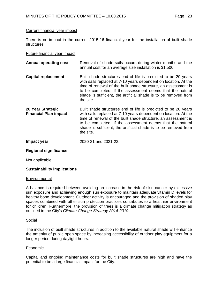#### Current financial year impact

There is no impact in the current 2015-16 financial year for the installation of built shade structures.

#### Future financial year impact

**Annual operating cost** Removal of shade sails occurs during winter months and the annual cost for an average size installation is \$1,500. **Capital replacement** Built shade structures end of life is predicted to be 20 years with sails replaced at 7-10 years dependent on location. At the time of renewal of the built shade structure, an assessment is to be completed. If the assessment deems that the natural shade is sufficient, the artificial shade is to be removed from the site. **20 Year Strategic Financial Plan impact**  Built shade structures end of life is predicted to be 20 years with sails replaced at 7-10 years dependent on location. At the time of renewal of the built shade structure, an assessment is to be completed. If the assessment deems that the natural shade is sufficient, the artificial shade is to be removed from the site. **Impact year** 2020-21 and 2021-22.

#### **Regional significance**

Not applicable.

#### **Sustainability implications**

#### **Environmental**

A balance is required between avoiding an increase in the risk of skin cancer by excessive sun exposure and achieving enough sun exposure to maintain adequate vitamin D levels for healthy bone development. Outdoor activity is encouraged and the provision of shaded play spaces combined with other sun protection practices contributes to a healthier environment for children. Furthermore, the provision of trees is a climate change mitigation strategy as outlined in the City's *Climate Change Strategy 2014-2019*.

#### Social

The inclusion of built shade structures in addition to the available natural shade will enhance the amenity of public open space by increasing accessibility of outdoor play equipment for a longer period during daylight hours.

#### Economic

Capital and ongoing maintenance costs for built shade structures are high and have the potential to be a large financial impact for the City.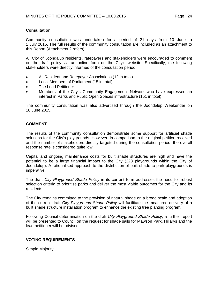### **Consultation**

Community consultation was undertaken for a period of 21 days from 10 June to 1 July 2015. The full results of the community consultation are included as an attachment to this Report (Attachment 2 refers).

All City of Joondalup residents, ratepayers and stakeholders were encouraged to comment on the draft policy via an online form on the City's website. Specifically, the following stakeholders were directly informed of the consultation period:

- All Resident and Ratepayer Associations (12 in total).
- Local Members of Parliament (15 in total).
- The Lead Petitioner.
- Members of the City's Community Engagement Network who have expressed an interest in Parks and Public Open Spaces infrastructure (151 in total).

The community consultation was also advertised through the Joondalup Weekender on 18 June 2015.

## **COMMENT**

The results of the community consultation demonstrate some support for artificial shade solutions for the City's playgrounds. However, in comparison to the original petition received and the number of stakeholders directly targeted during the consultation period, the overall response rate is considered quite low.

Capital and ongoing maintenance costs for built shade structures are high and have the potential to be a large financial impact to the City (223 playgrounds within the City of Joondalup). A rationalised approach to the distribution of built shade to park playgrounds is imperative.

The draft *City Playground Shade Policy* in its current form addresses the need for robust selection criteria to prioritise parks and deliver the most viable outcomes for the City and its residents.

The City remains committed to the provision of natural shade on a broad scale and adoption of the current draft *City Playground Shade Policy* will facilitate the measured delivery of a built shade structure installation program to enhance the existing tree planting program*.*

Following Council determination on the draft *City Playground Shade Policy*, a further report will be presented to Council on the request for shade sails for Mawson Park, Hillarys and the lead petitioner will be advised.

### **VOTING REQUIREMENTS**

Simple Majority.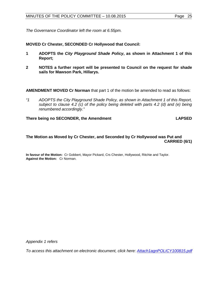*The Governance Coordinator left the room at 6.55pm.*

**MOVED Cr Chester, SECONDED Cr Hollywood that Council:**

- **1 ADOPTS the** *City Playground Shade Policy***, as shown in Attachment 1 of this Report;**
- **2 NOTES a further report will be presented to Council on the request for shade sails for Mawson Park, Hillarys.**

**AMENDMENT MOVED Cr Norman** that part 1 of the motion be amended to read as follows:

*"1 ADOPTS the City Playground Shade Policy, as shown in Attachment 1 of this Report, subject to clause 4.2 (c) of the policy being deleted with parts 4.2 (d) and (e) being renumbered accordingly."*

There being no SECONDER, the Amendment **LAPSED** 

## **The Motion as Moved by Cr Chester, and Seconded by Cr Hollywood was Put and CARRIED (6/1)**

**In favour of the Motion:** Cr Gobbert, Mayor Pickard, Crs Chester, Hollywood, Ritchie and Taylor. **Against the Motion:** Cr Norman.

*Appendix 1 refers*

*To access this attachment on electronic document, click here: [Attach1agnPOLICY100815.pdf](http://www.joondalup.wa.gov.au/files/committees/POLI/2015/Attach1agnPOLICY100815.pdf)*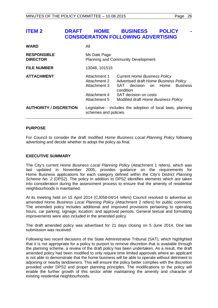# <span id="page-25-0"></span>**ITEM 2 BUSINESS POLICY CONSIDERATION FOLLOWING ADVERTISING**

| <b>WARD</b>                           | All                                                                                  |                                                                                                                                                                                                                |
|---------------------------------------|--------------------------------------------------------------------------------------|----------------------------------------------------------------------------------------------------------------------------------------------------------------------------------------------------------------|
| <b>RESPONSIBLE</b><br><b>DIRECTOR</b> | Ms Dale Page<br><b>Planning and Community Development</b>                            |                                                                                                                                                                                                                |
| <b>FILE NUMBER</b>                    | 13048, 101515                                                                        |                                                                                                                                                                                                                |
| <b>ATTACHMENT</b>                     | Attachment 1<br>Attachment 2<br>Attachment 3<br>Attachment 4<br>Attachment 5         | <b>Current Home Business Policy</b><br>Advertised draft Home Business Policy<br>decision<br>Home<br><b>Business</b><br>SAT<br>on.<br>condition<br>SAT decision on costs<br>Modified draft Home Business Policy |
| <b>AUTHORITY / DISCRETION</b>         | Legislative - includes the adoption of local laws, planning<br>schemes and policies. |                                                                                                                                                                                                                |

## **PURPOSE**

For Council to consider the draft modified *Home Business Local Planning Policy* following advertising and decide whether to adopt the policy as final.

### **EXECUTIVE SUMMARY**

The City's current *Home Business Local Planning Policy* (Attachment 1 refers), which was last updated in November 2005, provides guidance on the requirements for Home Business applications for each category defined within the City's *District Planning Scheme No. 2* (DPS2). The policy in addition to DPS2 identifies elements which are taken into consideration during the assessment process to ensure that the amenity of residential neighbourhoods is maintained.

At its meeting held on 15 April 2014 (CJ058-04/14 refers) Council resolved to advertise an amended *Home Business Local Planning Policy* (Attachment 2 refers) for public comment. The amended policy includes additional and improved provisions pertaining to operating hours, car parking; signage; location; and approval periods. General textual and formatting improvements were also included in the amended policy.

The draft amended policy was advertised for 21 days closing on 5 June 2014. One late submission was received.

Following two recent decisions of the State Administrative Tribunal (SAT), which highlighted that it is not appropriate for a policy to purport to remove discretion that is available through the planning scheme, a review of the draft policy has been undertaken. As a result, the draft amended policy had been modified to only require time limited approvals where an applicant is not able to demonstrate that the home business will be able to operate without detriment to adjoining or nearby landowners. This will ensure the policy better complies with the discretion provided under DPS2 and proper planning principles. The modifications to the policy will enable the further growth of this sector while maintaining the amenity and character of existing residential neighbourhoods.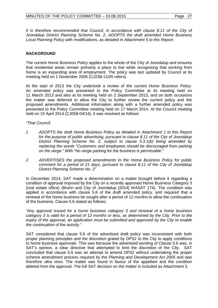It is therefore recommended that Council, in accordance with clause 8.11 of the City of *Joondalup District Planning Scheme No. 2, ADOPTS the draft amended Home Business Local Planning Policy with modifications, as detailed in Attachment 5 to this Report.*

# **BACKGROUND**

The current *Home Business Policy* applies to the whole of the City of Joondalup and ensures that residential areas remain primarily a place to live while recognising that working from home is an expanding area of employment. The policy was last updated by Council at its meeting held on 1 November 2005 (CJ238-11/05 refers).

At the start of 2013 the City undertook a review of the current *Home Business Policy*. An amended policy was presented to the Policy Committee at its meeting held on 11 March 2013 and also at its meeting held on 2 September 2013, and on both occasions the matter was deferred to allow the City to further review the current policy and the proposed amendments. Additional information along with a further amended policy was presented to the Policy Committee meeting held on 17 March 2014. At the Council meeting held on 15 April 2014 (CJ058-04/14), it was resolved as follows:

*"That Council:* 

- *1 ADOPTS the draft Home Business Policy as detailed in Attachment 1 to this Report for the purpose of public advertising, pursuant to clause 8.11 of the City of Joondalup District Planning Scheme No. 2, subject to clause 5.3.1(b) being amended by replacing the words "Customers and employees should be discouraged from parking on the verge." With "No verge parking for the business is permissible."*
- *2 ADVERTISES the proposed amendments to the Home Business Policy for public comment for a period of 21 days, pursuant to clause 8.11 of the City of Joondalup District Planning Scheme No. 2"*

In December 2014, SAT made a determination on a matter brought before it regarding a condition of approval imposed by the City on a recently approved Home Business Category 3 (real estate office) (Bruhn and City of Joondalup [2014] WASAT 174). The condition was applied in accordance with clause 5.6 of the draft amended policy, and required that a renewal of the home business be sought after a period of 12 months to allow the continuation of the business. Clause 5.6 stated as follows:

*"Any approval issued for a home business category 3 and renewal of a home business category 3 is valid for a period of 12 months or less, as determined by the City. Prior to the expiry of the approval, an application must be submitted and approved by the City to enable the continuation of the activity."*

SAT considered that clause 5.6 of the advertised draft policy was inconsistent with both proper planning principles and the discretion grated by DPS2 to the City to apply conditions to home business approvals. This was because the advertised wording of Clause 5.6 was, in SAT's opinion, a clear directive that attempted to limit the discretion of the City. SAT concluded that clause 5.6 was an attempt to amend DPS2 without undertaking the proper scheme amendment process required by the *Planning and Development Act 2005* and was therefore ultra vires. The matter was found in favour of the appellant and the condition deleted from the approval. The full SAT decision on the matter is included as Attachment 3.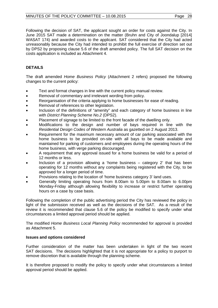Following the decision of SAT, the applicant sought an order for costs against the City. In June 2015 SAT made a determination on the matter (Bruhn and City of Joondalup [2014] WASAT 174) and awarded costs to the applicant. SAT considered that the City had acted unreasonably because the City had intended to prohibit the full exercise of direction set out by DPS2 by proposing clause 5.6 of the draft amended policy. The full SAT decision on the costs application is included as Attachment 4.

# **DETAILS**

The draft amended *Home Business Policy* (Attachment 2 refers) proposed the following changes to the current policy:

- Text and format changes in line with the current policy manual review.
- Removal of commentary and irrelevant wording from policy.
- Reorganisation of the criteria applying to home businesses for ease of reading.
- Removal of references to other legislation.
- Inclusion of the definitions of "amenity" and each category of home business in line with *District Planning Scheme No.2* (DPS2).
- Placement of signage to be limited to the front facade of the dwelling only.
- Modifications to the design and number of bays required in line with the *Residential Design Codes of Western Australia* as gazetted on 2 August 2013.
- Requirement for the maximum necessary amount of car parking associated with the home business to be provided on-site with all bays to be made available and maintained for parking of customers and employees during the operating hours of the home business, with verge parking discouraged.
- A requirement that any approval issued for a home business be valid for a period of 12 months or less.
- Inclusion of a provision allowing a 'home business  $-$  category 2' that has been operating for 12 months without any complaints being registered with the City, to be approved for a longer period of time.
- Provisions relating to the location of 'home business category 3' land uses.
- Generally limiting operating hours from 8.00am to 5.00pm to 8.00am to 6.00pm Monday-Friday although allowing flexibility to increase or restrict further operating hours on a case by case basis.

Following the completion of the public advertising period the City has reviewed the policy in light of the submission received as well as the decisions of the SAT. As a result of the review it is recommended that clause 5.6 of the policy be modified to specify under what circumstances a limited approval period should be applied.

The modified *Home Business Local Planning Policy* recommended for approval is provided as Attachment 5.

# **Issues and options considered**

Further consideration of the matter has been undertaken in light of the two recent SAT decisions. The decisions highlighted that it is not appropriate for a policy to purport to remove discretion that is available through the planning scheme.

It is therefore proposed to modify the policy to specify under what circumstances a limited approval period should be applied.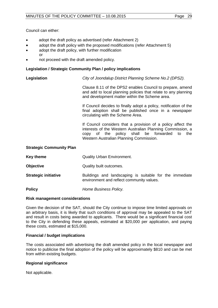Council can either:

- adopt the draft policy as advertised (refer Attachment 2)
- adopt the draft policy with the proposed modifications (refer Attachment 5)
- adopt the draft policy, with further modification or
- not proceed with the draft amended policy.

### **Legislation / Strategic Community Plan / policy implications**

**Legislation** *City of Joondalup District Planning Scheme No.2 (DPS2).*

Clause 8.11 of the DPS2 enables Council to prepare, amend and add to local planning policies that relate to any planning and development matter within the Scheme area.

If Council decides to finally adopt a policy, notification of the final adoption shall be published once in a newspaper circulating with the Scheme Area.

If Council considers that a provision of a policy affect the interests of the Western Australian Planning Commission, a copy of the policy shall be forwarded to the policy shall be forwarded to the Western Australian Planning Commission.

#### **Strategic Community Plan**

- **Key theme Canadity Urban Environment.**
- **Objective** Quality built outcomes.
- **Strategic initiative Buildings** and landscaping is suitable for the immediate environment and reflect community values.

**Policy** *Home Business Policy.*

#### **Risk management considerations**

Given the decision of the SAT, should the City continue to impose time limited approvals on an arbitrary basis, it is likely that such conditions of approval may be appealed to the SAT and result in costs being awarded to applicants. There would be a significant financial cost to the City in defending these appeals, estimated at \$20,000 per application, and paying these costs, estimated at \$15,000.

#### **Financial / budget implications**

The costs associated with advertising the draft amended policy in the local newspaper and notice to publicise the final adoption of the policy will be approximately \$810 and can be met from within existing budgets.

#### **Regional significance**

Not applicable.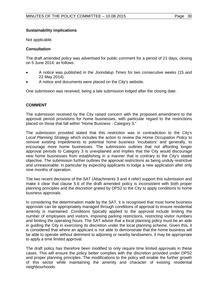## **Sustainability implications**

Not applicable.

## **Consultation**

The draft amended policy was advertised for public comment for a period of 21 days, closing on 5 June 2014, as follows:

- A notice was published in the *Joondalup Times* for two consecutive weeks (15 and 22 May 2014).
- A notice and documents were placed on the City's website.

One submission was received, being a late submission lodged after the closing date.

# **COMMENT**

The submission received by the City raised concern with the proposed amendment to the approval period provisions for home businesses, with particular regard to the restrictions placed on those that fall within "Home Business - Category 3."

The submission provided stated that this restriction was in contradiction to the City's *Local Planning Strategy* which includes the action to review the *Home Occupation Policy* to remove existing impediments to potential home business 'incubators' and generally, to encourage more home businesses. The submission outlines that not affording longer approval periods to Category 3 is unexplained and implies that the City would discourage new home businesses from establishing in a manner that is contrary to the City's stated objective. The submission further outlines the approval restrictions as being unduly restrictive and unreasonable, in particular by expecting applicants to lodge a new application after only nine months of operation.

The two recent decisions of the SAT (Attachments 3 and 4 refer) support this submission and make it clear that clause 5.6 of the draft amended policy is inconsistent with both proper planning principles and the discretion grated by DPS2 to the City to apply conditions to home business approvals.

In considering the determination made by the SAT, it is recognised that most home business approvals can be appropriately managed through conditions of approval to ensure residential amenity is maintained. Conditions typically applied to the approval include limiting the number of employees and visitors, imposing parking restrictions, restricting visitor numbers and limiting the operating hours. The SAT advise that a local planning policy must be an aide in guiding the City in exercising its discretion under the local planning scheme. Given this, it is considered that where an applicant is not able to demonstrate that the home business will be able to operate without detriment to adjoining or nearby landowners, it may be appropriate to apply a time limited approval.

The draft policy has therefore been modified to only require time limited approvals in these cases. This will ensure the policy better complies with the discretion provided under DPS2 and proper planning principles. The modifications to the policy will enable the further growth of this sector while maintaining the amenity and character of existing residential neighbourhoods.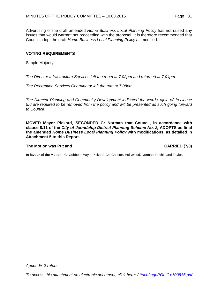Advertising of the draft amended *Home Business Local Planning Policy* has not raised any issues that would warrant not proceeding with the proposal. It is therefore recommended that Council adopt the draft *Home Business Local Planning Policy* as modified.

## **VOTING REQUIREMENTS**

Simple Majority.

*The Director Infrastructure Services left the room at 7.02pm and returned at 7.04pm.*

*The Recreation Services Coordinator left the rom at 7.08pm.*

*The Director Planning and Community Development indicated the words 'ajoin of' in clause 5.6 are required to be removed from the policy and will be presented as such going forward to Council.*

**MOVED Mayor Pickard, SECONDED Cr Norman that Council, in accordance with clause 8.11 of the** *City of Joondalup District Planning Scheme No. 2,* **ADOPTS as final the amended** *Home Business Local Planning Policy* **with modifications, as detailed in Attachment 5 to this Report.**

#### **The Motion was Put and CARRIED (7/0)**

**In favour of the Motion:** Cr Gobbert, Mayor Pickard, Crs Chester, Hollywood, Norman, Ritchie and Taylor.

*Appendix 2 refers*

*To access this attachment on electronic document, click here: [Attach2agnPOLICY100815.pdf](http://www.joondalup.wa.gov.au/files/committees/POLI/2015/Attach2agnPOLICY100815.pdf)*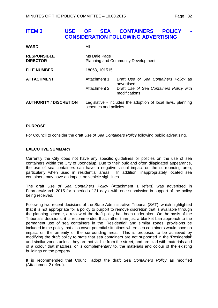# <span id="page-31-0"></span>**ITEM 3 USE OF SEA CONTAINERS POLICY CONSIDERATION FOLLOWING ADVERTISING**

| <b>WARD</b>                           | All                   |                                                             |
|---------------------------------------|-----------------------|-------------------------------------------------------------|
| <b>RESPONSIBLE</b><br><b>DIRECTOR</b> | Ms Dale Page          | <b>Planning and Community Development</b>                   |
| <b>FILE NUMBER</b>                    | 18058, 101515         |                                                             |
| <b>ATTACHMENT</b>                     | Attachment 1          | Draft Use of Sea Containers Policy as<br>advertised         |
|                                       | Attachment 2          | Draft Use of Sea Containers Policy with<br>modifications    |
| <b>AUTHORITY / DISCRETION</b>         | schemes and policies. | Legislative - includes the adoption of local laws, planning |

## **PURPOSE**

For Council to consider the draft *Use of Sea Containers Policy* following public advertising.

#### **EXECUTIVE SUMMARY**

Currently the City does not have any specific guidelines or policies on the use of sea containers within the City of Joondalup. Due to their bulk and often dilapidated appearance, the use of sea containers can have a negative visual impact on the surrounding area, particularly when used in residential areas. In addition, inappropriately located sea containers may have an impact on vehicle sightlines.

The draft *Use of Sea Containers Policy* (Attachment 1 refers) was advertised in February/March 2015 for a period of 21 days, with one submission in support of the policy being received.

Following two recent decisions of the State Administrative Tribunal (SAT), which highlighted that it is not appropriate for a policy to purport to remove discretion that is available through the planning scheme, a review of the draft policy has been undertaken. On the basis of the Tribunal's decisions, it is recommended that, rather than just a blanket ban approach to the permanent use of sea containers in the 'Residential' and similar zones, provisions be included in the policy that also cover potential situations where sea containers would have no impact on the amenity of the surrounding area. This is proposed to be achieved by modifying the draft policy to state that sea containers are not supported in the 'Residential' and similar zones unless they are not visible from the street, and are clad with materials and of a colour that matches, or is complementary to, the materials and colour of the existing buildings on the property.

It is recommended that Council adopt the draft *Sea Containers Policy* as modified (Attachment 2 refers).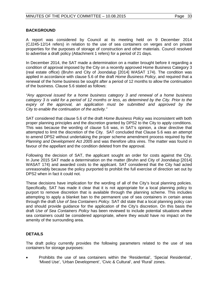### **BACKGROUND**

A report was considered by Council at its meeting held on 9 December 2014 (CJ245-12/14 refers) in relation to the use of sea containers on verges and on private properties for the purposes of storage of construction and other materials. Council resolved to advertise a draft policy (Attachment 1 refers) for a period of 21 days.

In December 2014, the SAT made a determination on a matter brought before it regarding a condition of approval imposed by the City on a recently approved Home Business Category 3 (real estate office) (Bruhn and City of Joondalup [2014] WASAT 174). The condition was applied in accordance with clause 5.6 of the draft *Home Business Policy*, and required that a renewal of the home business be sought after a period of 12 months to allow the continuation of the business. Clause 5.6 stated as follows:

*"Any approval issued for a home business category 3 and renewal of a home business category 3 is valid for a period of 12 months or less, as determined by the City. Prior to the*  expiry of the approval, an application must be submitted and approved by the *City to enable the continuation of the activity."*

SAT considered that clause 5.6 of the draft *Home Business Policy* was inconsistent with both proper planning principles and the discretion granted by DPS2 to the City to apply conditions. This was because the wording of clause 5.6 was, in SAT's opinion, a clear directive that attempted to limit the discretion of the City. SAT concluded that Clause 5.6 was an attempt to amend DPS2 without undertaking the proper scheme amendment process required by the *Planning and Development Act 2005* and was therefore ultra vires. The matter was found in favour of the appellant and the condition deleted from the approval.

Following the decision of SAT, the applicant sought an order for costs against the City. In June 2015 SAT made a determination on the matter (Bruhn and City of Joondalup [2014] WASAT 174) and awarded costs to the applicant. SAT considered that the City had acted unreasonably because the policy purported to prohibit the full exercise of direction set out by DPS2 when in fact it could not.

These decisions have implication for the wording of all of the City's local planning policies. Specifically, SAT has made it clear that it is not appropriate for a local planning policy to purport to remove discretion that is available through the planning scheme. This includes attempting to apply a blanket ban to the permanent use of sea containers in certain areas through the draft *Use of Sea Containers Policy*. SAT did state that a local planning policy can and should provide guidance for the application of the City's discretion. On this basis the draft *Use of Sea Containers Policy* has been reviewed to include potential situations where sea containers could be considered appropriate, where they would have no impact on the amenity of the surrounding area.

# **DETAILS**

The draft policy currently provides the following parameters related to the use of sea containers for storage purposes:

• Prohibits the use of sea containers within the 'Residential', 'Special Residential', 'Mixed Use', 'Urban Development', 'Civic & Cultural', and 'Rural' zones.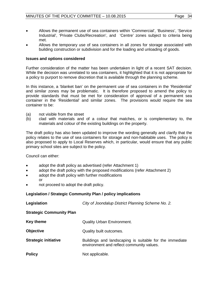- Allows the permanent use of sea containers within 'Commercial', 'Business', 'Service Industrial', 'Private Clubs/Recreation', and 'Centre' zones subject to criteria being met.
- Allows the temporary use of sea containers in all zones for storage associated with building construction or subdivision and for the loading and unloading of goods.

### **Issues and options considered**

Further consideration of the matter has been undertaken in light of a recent SAT decision. While the decision was unrelated to sea containers, it highlighted that it is not appropriate for a policy to purport to remove discretion that is available through the planning scheme.

In this instance, a 'blanket ban' on the permanent use of sea containers in the 'Residential' and similar zones may be problematic. It is therefore proposed to amend the policy to provide standards that must be met for consideration of approval of a permanent sea container in the 'Residential' and similar zones. The provisions would require the sea container to be:

- (a) not visible from the street
- (b) clad with materials and of a colour that matches, or is complementary to, the materials and colour of the existing buildings on the property.

The draft policy has also been updated to improve the wording generally and clarify that the policy relates to the use of sea containers for storage and non-habitable uses. The policy is also proposed to apply to Local Reserves which, in particular, would ensure that any public primary school sites are subject to the policy.

Council can either:

- adopt the draft policy as advertised (refer Attachment 1)
- adopt the draft policy with the proposed modifications (refer Attachment 2)
- adopt the draft policy with further modifications or
- not proceed to adopt the draft policy.

# **Legislation / Strategic Community Plan / policy implications**

| Legislation                     | City of Joondalup District Planning Scheme No. 2.                                                    |
|---------------------------------|------------------------------------------------------------------------------------------------------|
| <b>Strategic Community Plan</b> |                                                                                                      |
| Key theme                       | <b>Quality Urban Environment.</b>                                                                    |
| <b>Objective</b>                | Quality built outcomes.                                                                              |
| <b>Strategic initiative</b>     | Buildings and landscaping is suitable for the immediate<br>environment and reflect community values. |
| <b>Policy</b>                   | Not applicable.                                                                                      |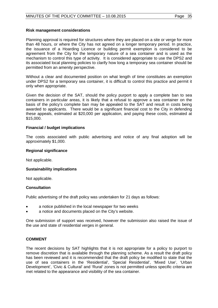#### **Risk management considerations**

Planning approval is required for structures where they are placed on a site or verge for more than 48 hours, or where the City has not agreed on a longer temporary period. In practice, the issuance of a Hoarding Licence or building permit exemption is considered to be agreement from the City for the temporary nature of a sea container and is used as the mechanism to control this type of activity. It is considered appropriate to use the DPS2 and its associated local planning policies to clarify how long a temporary sea container should be permitted from an amenity perspective.

Without a clear and documented position on what length of time constitutes an exemption under DPS2 for a temporary sea container, it is difficult to control this practice and permit it only when appropriate.

Given the decision of the SAT, should the policy purport to apply a complete ban to sea containers in particular areas, it is likely that a refusal to approve a sea container on the basis of the policy's complete ban may be appealed to the SAT and result in costs being awarded to applicants. There would be a significant financial cost to the City in defending these appeals, estimated at \$20,000 per application, and paying these costs, estimated at \$15,000.

#### **Financial / budget implications**

The costs associated with public advertising and notice of any final adoption will be approximately \$1,000.

#### **Regional significance**

Not applicable.

#### **Sustainability implications**

Not applicable.

#### **Consultation**

Public advertising of the draft policy was undertaken for 21 days as follows:

- a notice published in the local newspaper for two weeks
- a notice and documents placed on the City's website.

One submission of support was received, however the submission also raised the issue of the use and state of residential verges in general.

#### **COMMENT**

The recent decisions by SAT highlights that it is not appropriate for a policy to purport to remove discretion that is available through the planning scheme. As a result the draft policy has been reviewed and it is recommended that the draft policy be modified to state that the use of sea containers in the 'Residential', 'Special Residential', 'Mixed Use', 'Urban Development', 'Civic & Cultural' and 'Rural' zones is not permitted unless specific criteria are met related to the appearance and visibility of the sea container.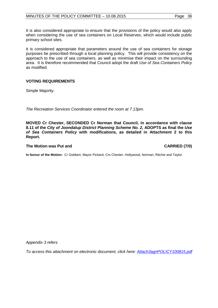It is also considered appropriate to ensure that the provisions of the policy would also apply when considering the use of sea containers on Local Reserves, which would include public primary school sites.

It is considered appropriate that parameters around the use of sea containers for storage purposes be prescribed through a local planning policy. This will provide consistency on the approach to the use of sea containers, as well as minimise their impact on the surrounding area. It is therefore recommended that Council adopt the draft *Use of Sea Containers Policy* as modified.

# **VOTING REQUIREMENTS**

Simple Majority.

*The Recreation Services Coordinator entered the room at 7.13pm.*

**MOVED Cr Chester, SECONDED Cr Norman that Council, in accordance with clause 8.11 of the** *City of Joondalup District Planning Scheme No. 2,* **ADOPTS as final the** *Use of Sea Containers Policy* **with modifications, as detailed in Attachment 2 to this Report.**

## **The Motion was Put and CARRIED (7/0)**

**In favour of the Motion:** Cr Gobbert, Mayor Pickard, Crs Chester, Hollywood, Norman, Ritchie and Taylor.

*Appendix 3 refers*

*To access this attachment on electronic document, click here: [Attach3agnPOLICY100815.pdf](http://www.joondalup.wa.gov.au/files/committees/POLI/2015/Attach3agnPOLICY100815.pdf)*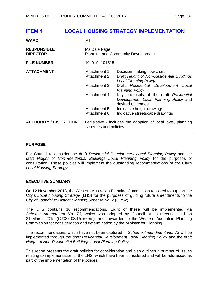# <span id="page-36-0"></span>**ITEM 4 LOCAL HOUSING STRATEGY IMPLEMENTATION**

| <b>WARD</b>                           | All                                                          |                                                                                                                                                                                                                                                                                    |
|---------------------------------------|--------------------------------------------------------------|------------------------------------------------------------------------------------------------------------------------------------------------------------------------------------------------------------------------------------------------------------------------------------|
| <b>RESPONSIBLE</b><br><b>DIRECTOR</b> | Ms Dale Page                                                 | Planning and Community Development                                                                                                                                                                                                                                                 |
| <b>FILE NUMBER</b>                    | 104919, 101515                                               |                                                                                                                                                                                                                                                                                    |
| <b>ATTACHMENT</b>                     | Attachment 1<br>Attachment 2<br>Attachment 3<br>Attachment 4 | Decision making flow chart<br>Draft Height of Non-Residential Buildings<br><b>Local Planning Policy</b><br>Draft Residential Development<br>Local<br><b>Planning Policy</b><br>Key proposals of the draft Residential<br>Development Local Planning Policy and<br>desired outcomes |
|                                       | Attachment 5<br>Attachment 6                                 | Indicative height drawings<br>Indicative streetscape drawings                                                                                                                                                                                                                      |
| <b>AUTHORITY / DISCRETION</b>         | schemes and policies.                                        | Legislative - includes the adoption of local laws, planning                                                                                                                                                                                                                        |

#### **PURPOSE**

For Council to consider the draft *Residential Development Local Planning Policy* and the draft *Height of Non-Residential Buildings Local Planning Policy* for the purposes of consultation. These policies will implement the outstanding recommendations of the City's *Local Housing Strategy*.

#### **EXECUTIVE SUMMARY**

On 12 November 2013, the Western Australian Planning Commission resolved to support the City's *Local Housing Strategy* (LHS) for the purposes of guiding future amendments to the *City of Joondalup District Planning Scheme No. 2* (DPS2).

The LHS contains 10 recommendations. Eight of these will be implemented via *Scheme Amendment No. 73*, which was adopted by Council at its meeting held on 31 March 2015 (CJ032-03/15 refers), and forwarded to the Western Australian Planning Commission for consideration and determination by the Minister for Planning.

The recommendations which have not been captured in *Scheme Amendment No. 73* will be implemented through the draft *Residential Development Local Planning Policy* and the draft *Height of Non-Residential Buildings Local Planning Policy*.

This report presents the draft policies for consideration and also outlines a number of issues relating to implementation of the LHS, which have been considered and will be addressed as part of the implementation of the polices.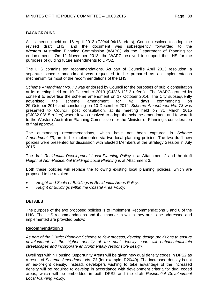# **BACKGROUND**

At its meeting held on 16 April 2013 (CJ044-04/13 refers), Council resolved to adopt the revised draft LHS, and the document was subsequently forwarded to the Western Australian Planning Commission (WAPC) via the Department of Planning for endorsement. On 12 November 2013, the WAPC resolved to support the LHS for the purposes of guiding future amendments to DPS2.

The LHS contains ten recommendations. As part of Council's April 2013 resolution, a separate scheme amendment was requested to be prepared as an implementation mechanism for most of the recommendations of the LHS.

*Scheme Amendment No. 73* was endorsed by Council for the purposes of public consultation at its meeting held on 10 December 2013 (CJ236-12/13 refers). The WAPC granted its consent to advertise the scheme amendment on 17 October 2014. The City subsequently<br>advertised the scheme amendment for 42 davs commencing on the scheme amendment for 42 days commencing on 29 October 2014 and concluding on 10 December 2014. *Scheme Amendment No. 73* was presented to Council, post consultation, at its meeting held on 31 March 2015 (CJ032-03/15 refers) where it was resolved to adopt the scheme amendment and forward it to the Western Australian Planning Commission for the Minister of Planning's consideration of final approval.

The outstanding recommendations, which have not been captured in *Scheme Amendment 73*, are to be implemented via two local planning policies. The two draft new policies were presented for discussion with Elected Members at the Strategy Session in July 2015.

The draft *Residential Development Local Planning Policy* is at Attachment 2 and the draft *Height of Non-Residential Buildings Local Planning* is at Attachment 3.

Both these policies will replace the following existing local planning policies, which are proposed to be revoked:

- *Height and Scale of Buildings in Residential Areas Policy*.
- *Height of Buildings within the Coastal Area Policy.*

# **DETAILS**

The purpose of the two proposed policies is to implement Recommendations 3 and 6 of the LHS. The LHS recommendations and the manner in which they are to be addressed and implemented are provided below:

#### **Recommendation 3**

*As part of the District Planning Scheme review process, develop design provisions to ensure development at the higher density of the dual density code will enhance/maintain streetscapes and incorporate environmentally responsible design.*

Dwellings within Housing Opportunity Areas will be given new dual density codes in DPS2 as a result of *Scheme Amendment No. 73* (for example, R20/40). The increased density is not an as-of-right density. Instead, developers wishing to take advantage of the increased density will be required to develop in accordance with development criteria for dual coded areas, which will be embedded in both DPS2 and the draft *Residential Development Local Planning Policy.*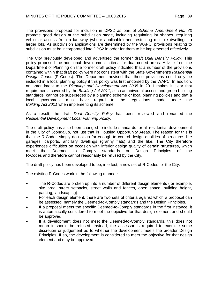The provisions proposed for inclusion in DPS2 as part of *Scheme Amendment No. 73* promote good design at the subdivision stage, including regulating lot shapes, requiring vehicular access from a laneway (where applicable) and restricting multiple dwellings to larger lots. As subdivision applications are determined by the WAPC, provisions relating to subdivision must be incorporated into DPS2 in order for them to be implemented effectively.

The City previously developed and advertised the former draft *Dual Density Policy*. This policy proposed the additional development criteria for dual coded areas. Advice from the Department of Planning on the former draft policy indicated that a number of the provisions contained within that draft policy were not consistent with the State Government's *Residential Design Codes* (R-Codes). The Department advised that these provisions could only be included in a local planning policy if this policy was first endorsed by the WAPC. In addition, an amendment to the *Planning and Development Act 2005* in 2011 makes it clear that requirements covered by the *Building Act 2011*, such as universal access and green building standards, cannot be superseded by a planning scheme or local planning policies and that a local government must have regard to the regulations made under the *Building Act 2011* when implementing its scheme.

As a result, the draft *Dual Density Policy* has been reviewed and renamed the *Residential Development Local Planning Policy*.

The draft policy has also been changed to include standards for all residential development in the City of Joondalup, not just that in Housing Opportunity Areas. The reason for this is that the R-Codes simply do not go far enough to control design qualities of structures like garages, carports, ancillary dwellings (granny flats) and the like. The City therefore experiences difficulties on occasion with inferior design quality of certain structures, which<br>meet the Deemed to Comply standards or Design Principles of the meet the Deemed to Comply standards or Design Principles of the R-Codes and therefore cannot reasonably be refused by the City.

The draft policy has been developed to be, in effect, a new set of R-Codes for the City.

The existing R-Codes work in the following manner:

- The R-Codes are broken up into a number of different design elements (for example, site area, street setbacks, street walls and fences, open space, building height, parking, landscaping).
- For each design element, there are two sets of criteria against which a proposal can be assessed, namely the Deemed-to-Comply standards and the Design Principles.
- If a proposal meets the specific Deemed-to-Comply standards in the first instance, it is automatically considered to meet the objective for that design element and should be approved.
- If a development does not meet the Deemed-to-Comply standards, this does not mean it should be refused. Instead, the assessor is required to exercise some discretion or judgement as to whether the development meets the broader Design Principles. If so, the development is considered to meet the objective for that design element and may be approved.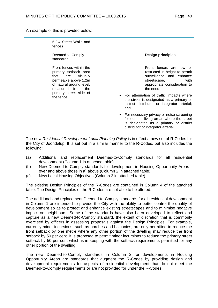An example of this is provided below:

5.2.4 Street Walls and fences

Deemed-to-Comply standards

Front fences within the primary setback area that are visually permeable above 1.2m of natural ground level, measured from the primary street side of the fence.

**Design principles**

Front fences are low or restricted in height to permit surveillance and enhance<br>streetscape. with streetscape, appropriate consideration to the need:

- For attenuation of traffic impacts where the street is designated as a primary or district distributor or integrator arterial; and
- For necessary privacy or noise screening for outdoor living areas where the street is designated as a primary or district distributor or integrator arterial.

The new *Residential Development Local Planning Policy* is in effect a new set of R-Codes for the City of Joondalup. It is set out in a similar manner to the R-Codes, but also includes the following:

- (a) Additional and replacement Deemed-to-Comply standards for all residential development (Column 1 in attached table).
- (b) New Deemed-to-Comply standards for development in Housing Opportunity Areas over and above those in a) above (Column 2 in attached table).
- (c) New Local Housing Objectives (Column 3 in attached table).

The existing Design Principles of the R-Codes are contained in Column 4 of the attached table. The Design Principles of the R-Codes are not able to be altered.

The additional and replacement Deemed-to-Comply standards for all residential development in Column 1 are intended to provide the City with the ability to better control the quality of development so as to protect and enhance existing streetscapes and to minimise negative impact on neighbours. Some of the standards have also been developed to reflect and capture as a new Deemed-to-Comply standard, the extent of discretion that is commonly exercised by officers in assessing proposals against the Design Principles. For example, currently minor incursions, such as porches and balconies, are only permitted to reduce the front setback by one metre where any other portion of the dwelling may reduce the front setback by 50 per cent. It is proposed to permit minor incursions to reduce the primary street setback by 50 per cent which is in keeping with the setback requirements permitted for any other portion of the dwelling.

The new Deemed-to-Comply standards in Column 2 for developments in Housing Opportunity Areas are standards that augment the R-Codes by providing design and development requirements for aspects of residential development that do not meet the Deemed-to-Comply requirements or are not provided for under the R-Codes.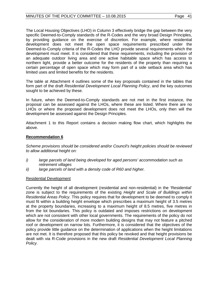The Local Housing Objectives (LHO) in Column 3 effectively bridge the gap between the very specific Deemed-to-Comply standards of the R-Codes and the very broad Design Principles, by providing guidance on the exercise of discretion. For example, where residential development does not meet the open space requirements prescribed under the Deemed-to-Comply criteria of the R-Codes the LHO provide several requirements which the development must meet. It is considered that these requirements, including the provision of an adequate outdoor living area and one active habitable space which has access to northern light, provide a better outcome for the residents of the property than requiring a certain percentage of open space which may form part of a side setback area which has limited uses and limited benefits for the residents.

The table at Attachment 4 outlines some of the key proposals contained in the tables that form part of the draft *Residential Development Local Planning Policy*, and the key outcomes sought to be achieved by these.

In future, when the Deemed-to-Comply standards are not met in the first instance, the proposal can be assessed against the LHOs, where these are listed. Where there are no LHOs or where the proposed development does not meet the LHOs, only then will the development be assessed against the Design Principles.

Attachment 1 to this Report contains a decision making flow chart, which highlights the above.

## **Recommendation 6**

*Scheme provisions should be considered and/or Council's height policies should be reviewed to allow additional height on:* 

- *i) large parcels of land being developed for aged persons' accommodation such as retirement villages*
- *ii) large parcels of land with a density code of R60 and higher.*

#### Residential Development

Currently the height of all development (residential and non-residential) in the 'Residential' zone is subject to the requirements of the existing *Height and Scale of Buildings within Residential Areas Policy*. This policy requires that for development to be deemed to comply it must fit within a building height envelope which prescribes a maximum height of 3.5 metres at the property boundaries, increasing to a maximum height of 8.5 metres, five metres in from the lot boundaries. This policy is outdated and imposes restrictions on development which are not consistent with other local governments. The requirements of the policy do not allow for the consideration of more modern building designs that may not feature a pitched roof or development on narrow lots. Furthermore, it is considered that the objectives of the policy provide little guidance on the determination of applications when the height limitations are not met. It is therefore proposed that this policy be revoked and that height provisions be dealt with via R-Code provisions in the new draft *Residential Development Local Planning Policy*.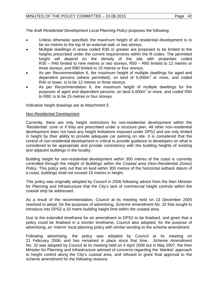The draft *Residential Development Local Planning Policy* proposes the following:

- Unless otherwise specified, the maximum height of all residential development is to be six metres to the top of an external wall, or two storeys.
- Multiple dwellings in areas coded R30 or greater are proposed to be limited to the heights prescribed under the current requirements within the R-codes. The permitted height will depend on the density of the site with properties coded R30 – R40 limited to nine metres or two storeys, R50 – R60 limited to 12 metres or three storeys, and R80 limited to 15 metres or four storeys.
- As per Recommendation 6, the maximum height of multiple dwellings for aged and dependent persons (where permitted), on land of  $5,000\,\mathrm{m}^2$  or more, and coded R40 or lower, is to be 12 metres or three storeys.
- As per Recommendation 6, the maximum height of multiple dwellings for the purposes of aged and dependent persons, on land  $5,000m^2$  or more, and coded R60 to R80, is to be 15 metres or four storeys.

Indicative height drawings are at Attachment 5.

#### Non-Residential Development

Currently, there are only height restrictions for non-residential development within the 'Residential' zone or if they are prescribed under a structure plan. All other non-residential development does not have any height limitations imposed under DPS2 and are only limited in height by their ability to provide adequate car parking on site. It is considered that the control of non-residential development is critical to provide guidance to developers on what is considered to be appropriate and provide consistency with the building heights of existing and adjacent buildings in the locality.

Building height for non-residential development within 300 metres of the coast is currently controlled through the *Height of Buildings within the Coastal area (Non-Residential Zones) Policy*. This policy sets out that on land within 300 metres of the horizontal setback datum of a coast, buildings shall not exceed 10 metres in height.

This policy was originally adopted by Council in 2006 following advice from the then Minister for Planning and Infrastructure that the City's lack of commercial height controls within the coastal strip be addressed.

As a result of the recommendation, Council at its meeting held on 13 December 2005 resolved to adopt, for the purposes of advertising, *Scheme Amendment No. 32* that sought to introduce into DPS2 a 10 metre building height limit within the coastal area.

Due to the extended timeframe for an amendment to DPS2 to be finalised, and given that a policy could be finalised in a shorter timeframe, Council also adopted, for the purpose of advertising, an 'interim' local planning policy with similar wording to the scheme amendment.

Following advertising, the policy was adopted by Council at its meeting on 21 February 2006, and has remained in place since that time. *Scheme Amendment No. 32* was adopted by Council at its meeting held on 4 April 2006 but in May 2007, the then Minister for Planning and Infrastructure advised of concerns regarding the 'blanket' approach to height control along the City's coastal area, and refused to grant final approval to the scheme amendment for the following reasons: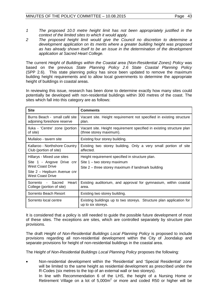- *1 The proposed 10.0 metre height limit has not been appropriately justified in the context of the limited sites to which it would apply.*
- *2 The proposed height limit would give the Council no discretion to determine a development application on its merits where a greater building height was proposed as has already shown itself to be an issue in the determination of the development application at Sacred Heart College.*

The current *Height of Buildings within the Coastal area (Non-Residential Zones) Policy* was based on the previous *State Planning Policy 2.6 State Coastal Planning Policy* (SPP 2.6). This state planning policy has since been updated to remove the maximum building height requirements and to allow local governments to determine the appropriate height of buildings in coastal areas.

In reviewing this issue, research has been done to determine exactly how many sites could potentially be developed with non-residential buildings within 300 metres of the coast. The sites which fall into this category are as follows:

| <b>Site</b>                                                                                                                           | <b>Comments</b>                                                                                                                        |
|---------------------------------------------------------------------------------------------------------------------------------------|----------------------------------------------------------------------------------------------------------------------------------------|
| Burns Beach - small café site<br>adjoining foreshore reserve                                                                          | Vacant site. Height requirement not specified in existing structure<br>plan.                                                           |
| Iluka - 'Centre' zone (portion<br>of site)                                                                                            | Vacant site. Height requirement specified in existing structure plan<br>(three storey maximum).                                        |
| Mullaloo - tavern site                                                                                                                | Existing four storey building.                                                                                                         |
| Kallaroo - Northshore Country<br>Club (portion of site)                                                                               | Existing two storey building. Only a very small portion of site<br>affected.                                                           |
| Hillarys - Mixed use sites<br>Site 1 - Angove Drive cnr<br>West Coast Drive<br>Site 2 - Hepburn Avenue cnr<br><b>West Coast Drive</b> | Height requirement specified in structure plan.<br>Site $1 -$ two storey maximum<br>Site 2 – three storey maximum if landmark building |
| Sacred<br>Heart<br>Sorrento<br>$\sim 10$<br>College (portion of site)                                                                 | Existing auditorium, and approval for gymnasium, within coastal<br>area.                                                               |
| Sorrento Beach Resort                                                                                                                 | Existing two storey building.                                                                                                          |
| Sorrento local centre                                                                                                                 | Existing buildings up to two storeys. Structure plan application for<br>up to six storeys.                                             |

It is considered that a policy is still needed to guide the possible future development of most of these sites. The exceptions are sites, which are controlled separately by structure plan provisions.

The draft *Height of Non-Residential Buildings Local Planning Policy* is proposed to include provisions regarding all non-residential development within the City of Joondalup and separate provisions for height of non-residential buildings in the coastal area.

The *Height of Non-Residential Buildings Local Planning Policy* proposes the following*:*

• Non-residential development within the 'Residential' and 'Special Residential' zone will be limited to the same height as residential development as prescribed under the R-Codes (six metres to the top of an external wall or two storeys).

In line with Recommendation 6 of the LHS, the height of a Nursing Home or Retirement Village on a lot of  $5,000m^2$  or more and coded R50 or higher will be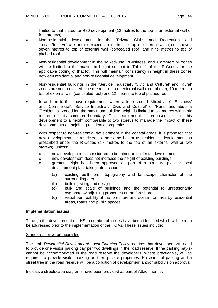limited to that stated for R80 development (12 metres to the top of an external wall or four storeys).

- Non-residential development in the 'Private Clubs and Recreation' and 'Local Reserve' are not to exceed six metres to top of external wall (roof above), seven metres to top of external wall (concealed roof) and nine metres to top of pitched roof.
- Non-residential development in the 'Mixed-Use', **'**Business' and 'Commercial' zones will be limited to the maximum height set out in Table 4 of the R-Codes for the applicable coding of that lot. This will maintain consistency in height in these zones between residential and non-residential development.
- Non-residential buildings in the 'Service Industrial', 'Civic and Cultural' and 'Rural' zones are not to exceed nine metres to top of external wall (roof above), 10 metres to top of external wall (concealed roof) and 12 metres to top of pitched roof.
- In addition to the above requirement, where a lot is zoned 'Mixed-Use', **'**Business' and 'Commercial', 'Service Industrial', 'Civic and Cultural' or 'Rural' and abuts a 'Residential' zoned lot, the maximum building height is limited to six metres within six metres of this common boundary. This requirement is proposed to limit this development to a height comparable to two storeys to manage the impact of these developments on adjoining residential properties.
- With respect to non-residential development in the coastal areas, it is proposed that new development be restricted to the same height as residential development as prescribed under the R-Codes (six metres to the top of an external wall or two storeys), unless:
	- o new development is considered to be minor or incidental development
	- o new development does not increase the height of existing buildings<br>o qreater height has been approved as part of a structure pla
	- greater height has been approved as part of a structure plan or local development plan, taking into account:
		- (a) existing built form, topography and landscape character of the surrounding area
		- (b) building siting and design
		- (c) bulk and scale of buildings and the potential to unreasonably overshadow adjoining properties or the foreshore
		- (d) visual permeability of the foreshore and ocean from nearby residential areas, roads and public spaces.

#### **Implementation issues**

Through the development of LHS, a number of issues have been identified which will need to be addressed prior to the implementation of the HOAs. These issues include:

#### Standards for verge upgrades

The draft *Residential Development Local Planning Policy* requires that developers will need to provide one visitor parking bay per two dwellings in the road reserve. If the parking bay(s) cannot be accommodated in the road reserve the developers, where practicable, will be required to provide visitor parking on their private properties. Provision of parking and a street tree in the road reserve will be a condition of development and/or subdivision approval.

Indicative streetscape diagrams have been provided as part of Attachment 6.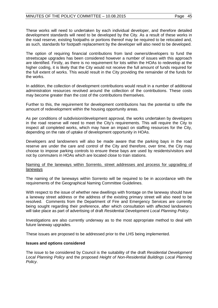These works will need to undertaken by each individual developer, and therefore detailed development standards will need to be developed by the City. As a result of these works in the road reserve, existing footpaths or portions thereof may be required to be relocated and, as such, standards for footpath replacement by the developer will also need to be developed.

The option of requiring financial contributions from land owners/developers to fund the streetscape upgrades has been considered however a number of issues with this approach are identified. Firstly, as there is no requirement for lots within the HOAs to redevelop at the higher coding, it is likely that the City would not receive the full amount of funds required for the full extent of works. This would result in the City providing the remainder of the funds for the works.

In addition, the collection of development contributions would result in a number of additional administration resources revolved around the collection of the contributions. These costs may become greater than the cost of the contributions themselves.

Further to this, the requirement for development contributions has the potential to stifle the amount of redevelopment within the housing opportunity areas.

As per conditions of subdivision/development approval, the works undertaken by developers in the road reserve will need to meet the City's requirements. This will require the City to inspect all completed works, which may have an impact on staffing resources for the City, depending on the rate of uptake of development opportunity in HOAs.

Developers and landowners will also be made aware that the parking bays in the road reserve are under the care and control of the City and therefore, over time, the City may choose to impose parking controls to ensure these bays are used by residents/visitors and not by commuters in HOAs which are located close to train stations.

#### Naming of the laneways within Sorrento, street addresses and process for upgrading of laneways

The naming of the laneways within Sorrento will be required to be in accordance with the requirements of the Geographical Naming Committee Guidelines.

With respect to the issue of whether new dwellings with frontage on the laneway should have a laneway street address or the address of the existing primary street will also need to be resolved. Comments from the Department of Fire and Emergency Services are currently being sought regarding their preference, after which consultation with affected landowners will take place as part of advertising of draft *Residential Development Local Planning Policy*.

Investigations are also currently underway as to the most appropriate method to deal with future laneway upgrades.

These issues are proposed to be addressed prior to the LHS being implemented.

#### **Issues and options considered**

The issue to be considered by Council is the suitability of the draft *Residential Development Local Planning Policy* and the proposed *Height of Non-Residential Buildings Local Planning Policy*.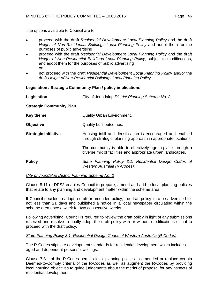The options available to Council are to:

- proceed with the draft *Residential Development Local Planning Policy* and the draft *Height of Non-Residential Buildings Local Planning Policy* and adopt them for the purposes of public advertising
- proceed with the draft *Residential Development Local Planning Policy* and the draft *Height of Non-Residential Buildings Local Planning Policy,* subject to modifications, and adopt them for the purposes of public advertising or
- not proceed with the draft *Residential Development Local Planning Policy* and/or the draft *Height of Non-Residential Buildings Local Planning Policy*.

## **Legislation / Strategic Community Plan / policy implications**

| Legislation                     | City of Joondalup District Planning Scheme No. 2.                                                                            |
|---------------------------------|------------------------------------------------------------------------------------------------------------------------------|
| <b>Strategic Community Plan</b> |                                                                                                                              |
| <b>Key theme</b>                | <b>Quality Urban Environment.</b>                                                                                            |
| <b>Objective</b>                | Quality built outcomes.                                                                                                      |
| <b>Strategic initiative</b>     | Housing infill and densification is encouraged and enabled<br>through strategic, planning approach in appropriate locations. |
|                                 | The community is able to effectively age-in-place through a<br>diverse mix of facilities and appropriate urban landscapes.   |
| <b>Policy</b>                   | State Planning Policy 3.1: Residential Design Codes of<br>Western Australia (R-Codes).                                       |

#### *City of Joondalup District Planning Scheme No. 2*

Clause 8.11 of DPS2 enables Council to prepare, amend and add to local planning policies that relate to any planning and development matter within the scheme area.

If Council decides to adopt a draft or amended policy, the draft policy is to be advertised for not less than 21 days and published a notice in a local newspaper circulating within the scheme area once a week for two consecutive weeks.

Following advertising, Council is required to review the draft policy in light of any submissions received and resolve to finally adopt the draft policy with or without modifications or not to proceed with the draft policy.

#### *State Planning Policy 3.1: Residential Design Codes of Western Australia (R-Codes)*

The R-Codes stipulate development standards for residential development which includes aged and dependent persons' dwellings.

Clause 7.3.1 of the R-Codes permits local planning polices to amended or replace certain Deemed-to-Comply criteria of the R-Codes as well as augment the R-Codes by providing local housing objectives to guide judgements about the merits of proposal for any aspects of residential development.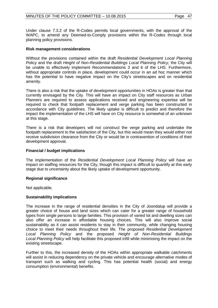Under clause 7.3.2 of the R-Codes permits local governments, with the approval of the WAPC, to amend any Deemed-to-Comply provisions within the R-Codes through local planning policy provisions.

#### **Risk management considerations**

Without the provisions contained within the draft *Residential Development Local Planning P*olicy and the draft *Height of Non-Residential Buildings Local Planning Policy,* the City will be unable to effectively implement Recommendations 3 and 6 of the LHS. Furthermore, without appropriate controls in place, development could occur in an ad hoc manner which has the potential to have negative impact on the City's streetscapes and on residential amenity.

There is also a risk that the uptake of development opportunities in HOAs is greater than that currently envisaged by the City. This will have an impact on City staff resources as Urban Planners are required to assess applications received and engineering expertise will be required to check that footpath replacement and verge parking has been constructed in accordance with City guidelines. The likely uptake is difficult to predict and therefore the impact the implementation of the LHS will have on City resource is somewhat of an unknown at this stage.

There is a risk that developers will not construct the verge parking and undertake the footpath replacement to the satisfaction of the City, but this would mean they would either not receive subdivision clearance from the City or would be in contravention of conditions of their development approval.

#### **Financial / budget implications**

The implementation of the *Residential Development Local Planning Policy* will have an impact on staffing resources for the City, though this impact is difficult to quantify at this early stage due to uncertainty about the likely uptake of development opportunity.

#### **Regional significance**

Not applicable.

#### **Sustainability implications**

The increase in the range of residential densities in the City of Joondalup will provide a greater choice of house and land sizes which can cater for a greater range of household types from single persons to large families. This provision of varied lot and dwelling sizes can also offer an increase in affordable housing choices. This will also improve social sustainability as it can assist residents to stay in their community, while changing housing choice to meet their needs throughout their life. The proposed *Residential Development Local Planning Policy* and the proposed *Height of Non-Residential Buildings Local Planning Policy* will help facilitate this proposed infill while minimising the impact on the existing streetscape.

Further to this, the increased density of the HOAs within appropriate walkable catchments will assist in reducing dependency on the private vehicle and encourage alternative modes of transport such as walking and cycling. This has potential health (social) and energy consumption (environmental) benefits.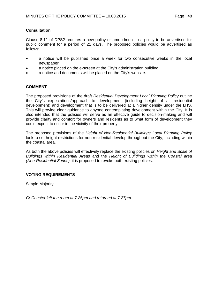#### **Consultation**

Clause 8.11 of DPS2 requires a new policy or amendment to a policy to be advertised for public comment for a period of 21 days. The proposed policies would be advertised as follows:

- a notice will be published once a week for two consecutive weeks in the local newspaper
- a notice placed on the e-screen at the City's administration building
- a notice and documents will be placed on the City's website.

## **COMMENT**

The proposed provisions of the draft *Residential Development Local Planning Policy* outline the City's expectations/approach to development (including height of all residential development) and development that is to be delivered at a higher density under the LHS. This will provide clear guidance to anyone contemplating development within the City. It is also intended that the policies will serve as an effective guide to decision-making and will provide clarity and comfort for owners and residents as to what form of development they could expect to occur in the vicinity of their property.

The proposed provisions of the *Height of Non-Residential Buildings Local Planning Policy* look to set height restrictions for non-residential develop throughout the City, including within the coastal area.

As both the above policies will effectively replace the existing policies on *Height and Scale of Buildings within Residential Areas* and the *Height of Buildings within the Coastal area (Non-Residential Zones),* it is proposed to revoke both existing policies.

#### **VOTING REQUIREMENTS**

Simple Majority.

*Cr Chester left the room at 7.25pm and returned at 7.27pm.*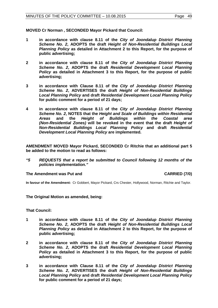**MOVED Cr Norman , SECONDED Mayor Pickard that Council:**

- **1 in accordance with clause 8.11 of the** *City of Joondalup District Planning Scheme No. 2***, ADOPTS the draft** *Height of Non-Residential Buildings Local Planning Policy* **as detailed in Attachment 2 to this Report, for the purpose of public advertising;**
- **2 in accordance with clause 8.11 of the** *City of Joondalup District Planning Scheme No. 2***, ADOPTS the draft** *Residential Development Local Planning Policy* **as detailed in Attachment 3 to this Report, for the purpose of public advertising;**
- **3 in accordance with Clause 8.11 of the** *City of Joondalup District Planning Scheme No. 2***, ADVERTISES the draft** *Height of Non-Residential Buildings Local Planning Policy* **and draft** *Residential Development Local Planning Policy*  **for public comment for a period of 21 days;**
- **4 in accordance with clause 8.11 of the** *City of Joondalup District Planning Scheme No. 2***, NOTES that the** *Height and Scale of Buildings within Residential Areas* **and the** *Height of Buildings within the Coastal area (Non-Residential Zones)* **will be revoked in the event that the draft** *Height of Non-Residential Buildings Local Planning Policy* **and draft** *Residential Development Local Planning Policy* **are implemented.**

**AMENDMENT MOVED Mayor Pickard, SECONDED Cr Ritchie that an additional part 5 be added to the motion to read as follows:**

*"5 REQUESTS that a report be submitted to Council following 12 months of the policies implementation."*

#### **The Amendment was Put and CARRIED (7/0)**

**In favour of the Amendment:** Cr Gobbert, Mayor Pickard, Crs Chester, Hollywood, Norman, Ritchie and Taylor.

**The Original Motion as amended, being:**

**That Council:**

- **1 in accordance with clause 8.11 of the** *City of Joondalup District Planning Scheme No. 2***, ADOPTS the draft** *Height of Non-Residential Buildings Local Planning Policy* **as detailed in Attachment 2 to this Report, for the purpose of public advertising;**
- **2 in accordance with clause 8.11 of the** *City of Joondalup District Planning Scheme No. 2***, ADOPTS the draft** *Residential Development Local Planning Policy* **as detailed in Attachment 3 to this Report, for the purpose of public advertising;**
- **3 in accordance with Clause 8.11 of the** *City of Joondalup District Planning Scheme No. 2***, ADVERTISES the draft** *Height of Non-Residential Buildings Local Planning Policy* **and draft** *Residential Development Local Planning Policy*  **for public comment for a period of 21 days;**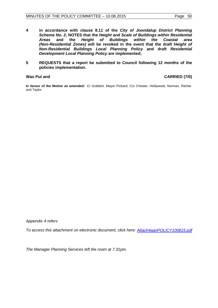- **4 in accordance with clause 8.11 of the** *City of Joondalup District Planning Scheme No. 2***, NOTES that the** *Height and Scale of Buildings within Residential Areasings Height of Buildings (Non-Residential Zones)* **will be revoked in the event that the draft** *Height of Non-Residential Buildings Local Planning Policy* **and draft** *Residential Development Local Planning Policy* **are implemented;**
- **5 REQUESTS that a report be submitted to Council following 12 months of the policies implementation.**

#### Was Put and **CARRIED** (7/0)

**In favour of the Motion as amended:** Cr Gobbert, Mayor Pickard, Crs Chester, Hollywood, Norman, Ritchie and Taylor.

*Appendix 4 refers*

*To access this attachment on electronic document, click here: [Attach4agnPOLICY100815.pdf](http://www.joondalup.wa.gov.au/files/committees/POLI/2015/Attach4agnPOLICY100815.pdf)*

*The Manager Planning Services left the room at 7.31pm.*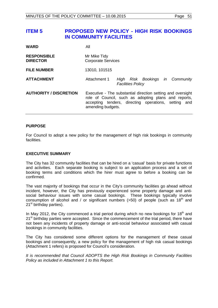# <span id="page-50-0"></span>**ITEM 5 PROPOSED NEW POLICY - HIGH RISK BOOKINGS IN COMMUNITY FACILITIES**

| <b>WARD</b>                           | All                                                                                                                                                                                              |
|---------------------------------------|--------------------------------------------------------------------------------------------------------------------------------------------------------------------------------------------------|
| <b>RESPONSIBLE</b><br><b>DIRECTOR</b> | Mr Mike Tidy<br><b>Corporate Services</b>                                                                                                                                                        |
| <b>FILE NUMBER</b>                    | 13010, 101515                                                                                                                                                                                    |
| <b>ATTACHMENT</b>                     | Attachment 1<br>Risk Bookings in Community<br>High<br><b>Facilities Policy</b>                                                                                                                   |
| <b>AUTHORITY / DISCRETION</b>         | Executive - The substantial direction setting and oversight<br>role of Council, such as adopting plans and reports,<br>accepting tenders, directing operations, setting and<br>amending budgets. |

#### **PURPOSE**

For Council to adopt a new policy for the management of high risk bookings in community facilities.

#### **EXECUTIVE SUMMARY**

The City has 32 community facilities that can be hired on a 'casual' basis for private functions and activities. Each separate booking is subject to an application process and a set of booking terms and conditions which the hirer must agree to before a booking can be confirmed.

The vast majority of bookings that occur in the City's community facilities go ahead without incident, however, the City has previously experienced some property damage and antisocial behaviour issues with some casual bookings. These bookings typically involve consumption of alcohol and / or significant numbers ( $>50$ ) of people (such as  $18<sup>th</sup>$  and  $21<sup>st</sup>$  birthday parties).

In May 2012, the City commenced a trial period during which no new bookings for 18<sup>th</sup> and  $21<sup>st</sup>$  birthday parties were accepted. Since the commencement of the trial period, there have not been any incidents of property damage or anti-social behaviour associated with casual bookings in community facilities.

The City has considered some different options for the management of these casual bookings and consequently, a new policy for the management of high risk casual bookings (Attachment 1 refers) is proposed for Council's consideration.

*It is recommended that Council ADOPTS the High Risk Bookings in Community Facilities Policy as included in Attachment 1 to this Report.*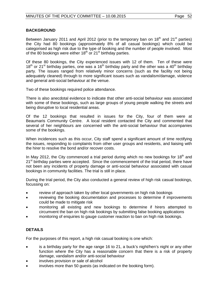## **BACKGROUND**

Between January 2011 and April 2012 (prior to the temporary ban on  $18<sup>th</sup>$  and  $21<sup>st</sup>$  parties) the City had 80 bookings (approximately 8% of all casual bookings) which could be categorised as high risk due to the type of booking and the number of people involved. Most of the 80 bookings were either  $18<sup>th</sup>$  or  $21<sup>st</sup>$  birthday parties.

Of these 80 bookings, the City experienced issues with 12 of them. Ten of these were  $18<sup>th</sup>$  or 21<sup>st</sup> birthday parties, one was a 16<sup>th</sup> birthday party and the other was a 40<sup>th</sup> birthday party. The issues ranged from relatively minor concerns (such as the facility not being adequately cleaned) through to more significant issues such as vandalism/damage, violence and general anti-social behaviour at the venue.

Two of these bookings required police attendance.

There is also anecdotal evidence to indicate that other anti-social behaviour was associated with some of these bookings, such as large groups of young people walking the streets and being disruptive to local residential areas.

Of the 12 bookings that resulted in issues for the City, four of them were at Beaumaris Community Centre. A local resident contacted the City and commented that several of her neighbours are concerned with the anti-social behaviour that accompanies some of the bookings.

When incidences such as this occur, City staff spend a significant amount of time rectifying the issues, responding to complaints from other user groups and residents, and liaising with the hirer to resolve the bond and/or recover costs.

In May 2012, the City commenced a trial period during which no new bookings for  $18<sup>th</sup>$  and 21<sup>st</sup> birthday parties were accepted. Since the commencement of the trial period, there have not been any incidents of property damage or anti-social behaviour associated with casual bookings in community facilities. The trial is still in place.

During the trial period, the City also conducted a general review of high risk casual bookings, focussing on:

- review of approach taken by other local governments on high risk bookings
- reviewing the booking documentation and processes to determine if improvements could be made to mitigate risk
- monitoring all existing and new bookings to determine if hirers attempted to circumvent the ban on high risk bookings by submitting false booking applications
- monitoring of enquiries to gauge customer reaction to ban on high risk bookings.

# **DETAILS**

For the purposes of this report, a high risk casual booking is one which:

- is a birthday party for the age range 16 to 21, a buck's night/hen's night or any other function where the City has a reasonable concern that there is a risk of property damage, vandalism and/or anti-social behaviour
- involves provision or sale of alcohol
- involves more than 50 quests (as indicated on the booking form).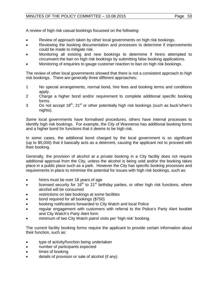A review of high risk casual bookings focussed on the following:

- Review of approach taken by other local governments on high risk bookings.
- Reviewing the booking documentation and processes to determine if improvements could be made to mitigate risk.
- Monitoring all existing and new bookings to determine if hirers attempted to circumvent the ban on high risk bookings by submitting false booking applications.
- Monitoring of enquiries to gauge customer reaction to ban on high risk bookings.

The review of other local governments showed that there is not a consistent approach to high risk bookings. There are generally three different approaches:

- 1 No special arrangements, normal bond, hire fees and booking terms and conditions apply.
- 2 Charge a higher bond and/or requirement to complete additional specific booking forms.
- 3 Do not accept  $18<sup>th</sup>$ ,  $21<sup>st</sup>$  or other potentially high risk bookings (such as buck's/hen's nights).

Some local governments have formalised procedures, others have internal processes to identify high risk bookings. For example, the City of Wanneroo has additional booking forms and a higher bond for functions that it deems to be high risk.

In some cases, the additional bond charged by the local government is so significant (up to \$5,000) that it basically acts as a deterrent, causing the applicant not to proceed with their booking.

Generally, the provision of alcohol at a private booking in a City facility does not require additional approval from the City, unless the alcohol is being sold and/or the booking takes place in a public place such as a park. However the City has specific booking processes and requirements in place to minimise the potential for issues with high risk bookings, such as:

- hirers must be over 18 years of age
- licensed security for  $16<sup>th</sup>$  to 21<sup>st</sup> birthday parties, or other high risk functions, where alcohol will be consumed
- restrictions on late bookings at some facilities
- bond required for all bookings (\$750)
- booking notifications forwarded to City Watch and local Police
- regular engagement with customers with referral to the Police's Party Alert booklet and City Watch's Party Alert form
- minimum of two City Watch patrol visits per 'high risk' booking.

The current facility booking forms require the applicant to provide certain information about their function, such as:

- type of activity/function being undertaken
- number of participants expected
- times of booking
- details of provision or sale of alcohol (if any).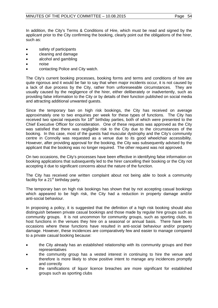In addition, the City's Terms & Conditions of Hire, which must be read and signed by the applicant prior to the City confirming the booking, clearly point out the obligations of the hirer, such as:

- safety of participants
- cleaning and damage
- alcohol and gambling
- noise
- contacting Police and City watch.

The City's current booking processes, booking forms and terms and conditions of hire are quite rigorous and it would be fair to say that when major incidents occur, it is not caused by a lack of due process by the City, rather from unforeseeable circumstances. They are usually caused by the negligence of the hirer, either deliberately or inadvertently, such as providing false information to the City or by details of their function published on social media and attracting additional unwanted guests.

Since the temporary ban on high risk bookings, the City has received on average approximately one to two enquiries per week for these types of functions. The City has received two special requests for  $18<sup>th</sup>$  birthday parties, both of which were presented to the Chief Executive Officer for consideration. One of these requests was approved as the City was satisfied that there was negligible risk to the City due to the circumstances of the booking. In this case, most of the guests had muscular dystrophy and the City's community centre in Connolly was requested as a venue due to its good wheelchair accessibility. However, after providing approval for the booking, the City was subsequently advised by the applicant that the booking was no longer required. The other request was not approved.

On two occasions, the City's processes have been effective in identifying false information on booking applications that subsequently led to the hirer cancelling their booking or the City not accepting it due to significant concerns about the nature of the function.

The City has received one written complaint about not being able to book a community facility for a  $21<sup>st</sup>$  birthday party.

The temporary ban on high risk bookings has shown that by not accepting casual bookings which appeared to be high risk, the City had a reduction in property damage and/or anti-social behaviour.

In proposing a policy, it is suggested that the definition of a high risk booking should also distinguish between private casual bookings and those made by regular hire groups such as community groups. It is not uncommon for community groups, such as sporting clubs, to host functions in the venues they hire on a seasonal or annual basis. There have been occasions where these functions have resulted in anti-social behaviour and/or property damage. However, these incidences are comparatively few and easier to manage compared to a private casual booking because:

- the City already has an established relationship with its community groups and their representatives
- the community group has a vested interest in continuing to hire the venue and therefore is more likely to show positive intent to manage any incidences promptly and correctly
- the ramifications of liquor licence breaches are more significant for established groups such as sporting clubs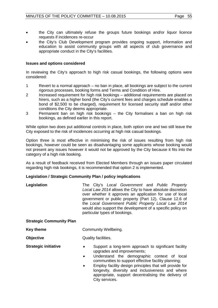- the City can ultimately refuse the groups future bookings and/or liquor licence requests if incidences re-occur
- the City's Club Development program provides ongoing support, information and education to assist community groups with all aspects of club governance and appropriate conduct in the City's facilities.

#### **Issues and options considered**

In reviewing the City's approach to high risk casual bookings, the following options were considered:

- 1 Revert to a normal approach no ban in place, all bookings are subject to the current rigorous processes, booking forms and Terms and Condition of Hire.
- 2 Increased requirement for high risk bookings additional requirements are placed on hirers, such as a higher bond (the City's current fees and charges schedule enables a bond of \$2,500 to be charged), requirement for licensed security staff and/or other conditions the City deems appropriate.
- 3 Permanent ban on high risk bookings the City formalises a ban on high risk bookings, as defined earlier in this report.

While option two does put additional controls in place, both option one and two still leave the City exposed to the risk of incidences occurring at high risk casual bookings.

Option three is most effective in minimising the risk of issues resulting from high risk bookings, however could be seen as disadvantaging some applicants whose booking would not present any issues however it would not be approved by the City because it fits into the category of a high risk booking.

As a result of feedback received from Elected Members through an issues paper circulated regarding high risk bookings, it is recommended that option 2 is implemented.

#### **Legislation / Strategic Community Plan / policy implications**

| Legislation                     | The City's Local Government and Public Property<br>Local Law 2014 allows the City to have absolute discretion<br>over whether it approves an application for use of local<br>government or public property (Part 12). Clause 12.6 of<br>the Local Government Public Property Local Law 2014<br>would also support the development of a specific policy on<br>particular types of bookings. |
|---------------------------------|--------------------------------------------------------------------------------------------------------------------------------------------------------------------------------------------------------------------------------------------------------------------------------------------------------------------------------------------------------------------------------------------|
| <b>Strategic Community Plan</b> |                                                                                                                                                                                                                                                                                                                                                                                            |
| <b>Key theme</b>                | Community Wellbeing.                                                                                                                                                                                                                                                                                                                                                                       |
| <b>Objective</b>                | Quality facilities.                                                                                                                                                                                                                                                                                                                                                                        |
| <b>Strategic initiative</b>     | Support a long-term approach to significant facility<br>٠<br>upgrades and improvements;<br>Understand the demographic context of local<br>$\bullet$<br>communities to support effective facility planning;                                                                                                                                                                                 |

• Employ facility design principles that will provide for longevity, diversity and inclusiveness and where appropriate, support decentralising the delivery of City services.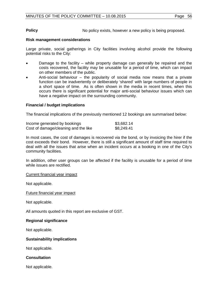**Policy Policy No policy exists, however a new policy is being proposed.** 

#### **Risk management considerations**

Large private, social gatherings in City facilities involving alcohol provide the following potential risks to the City:

- Damage to the facility while property damage can generally be repaired and the costs recovered, the facility may be unusable for a period of time, which can impact on other members of the public.
- Anti-social behaviour the popularity of social media now means that a private function can be inadvertently or deliberately 'shared' with large numbers of people in a short space of time. As is often shown in the media in recent times, when this occurs there is significant potential for major anti-social behaviour issues which can have a negative impact on the surrounding community.

#### **Financial / budget implications**

The financial implications of the previously mentioned 12 bookings are summarised below:

| Income generated by bookings         | \$3,682.14 |
|--------------------------------------|------------|
| Cost of damage/cleaning and the like | \$8,249.41 |

In most cases, the cost of damages is recovered via the bond, or by invoicing the hirer if the cost exceeds their bond. However, there is still a significant amount of staff time required to deal with all the issues that arise when an incident occurs at a booking in one of the City's community facilities.

In addition, other user groups can be affected if the facility is unusable for a period of time while issues are rectified.

Current financial year impact

Not applicable.

Future financial year impact

Not applicable.

All amounts quoted in this report are exclusive of GST.

#### **Regional significance**

Not applicable.

#### **Sustainability implications**

Not applicable.

#### **Consultation**

Not applicable.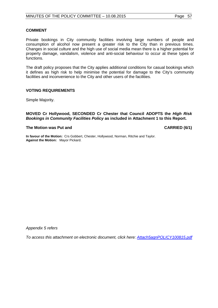#### **COMMENT**

Private bookings in City community facilities involving large numbers of people and consumption of alcohol now present a greater risk to the City than in previous times. Changes in social culture and the high use of social media mean there is a higher potential for property damage, vandalism, violence and anti-social behaviour to occur at these types of functions.

The draft policy proposes that the City applies additional conditions for casual bookings which it defines as high risk to help minimise the potential for damage to the City's community facilities and inconvenience to the City and other users of the facilities.

#### **VOTING REQUIREMENTS**

Simple Majority.

#### **MOVED Cr Hollywood, SECONDED Cr Chester that Council ADOPTS the** *High Risk Bookings in Community Facilities Policy* **as included in Attachment 1 to this Report.**

#### **The Motion was Put and CARRIED (6/1)**

**In favour of the Motion:** Crs Gobbert, Chester, Hollywood, Norman, Ritchie and Taylor. **Against the Motion:** Mayor Pickard.

*Appendix 5 refers*

*To access this attachment on electronic document, click here: [Attach5agnPOLICY100815.pdf](http://www.joondalup.wa.gov.au/files/committees/POLI/2015/Attach5agnPOLICY100815.pdf)*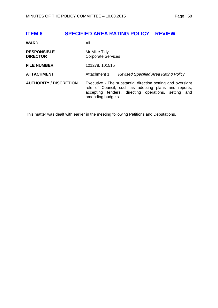# <span id="page-57-0"></span>**ITEM 6 SPECIFIED AREA RATING POLICY – REVIEW**

| <b>WARD</b>                           | Αll                                                                                                                                                                                              |
|---------------------------------------|--------------------------------------------------------------------------------------------------------------------------------------------------------------------------------------------------|
| <b>RESPONSIBLE</b><br><b>DIRECTOR</b> | Mr Mike Tidy<br><b>Corporate Services</b>                                                                                                                                                        |
| <b>FILE NUMBER</b>                    | 101278, 101515                                                                                                                                                                                   |
| <b>ATTACHMENT</b>                     | Attachment 1<br>Revised Specified Area Rating Policy                                                                                                                                             |
| <b>AUTHORITY / DISCRETION</b>         | Executive - The substantial direction setting and oversight<br>role of Council, such as adopting plans and reports,<br>accepting tenders, directing operations, setting and<br>amending budgets. |

This matter was dealt with earlier in the meeting following Petitions and Deputations.